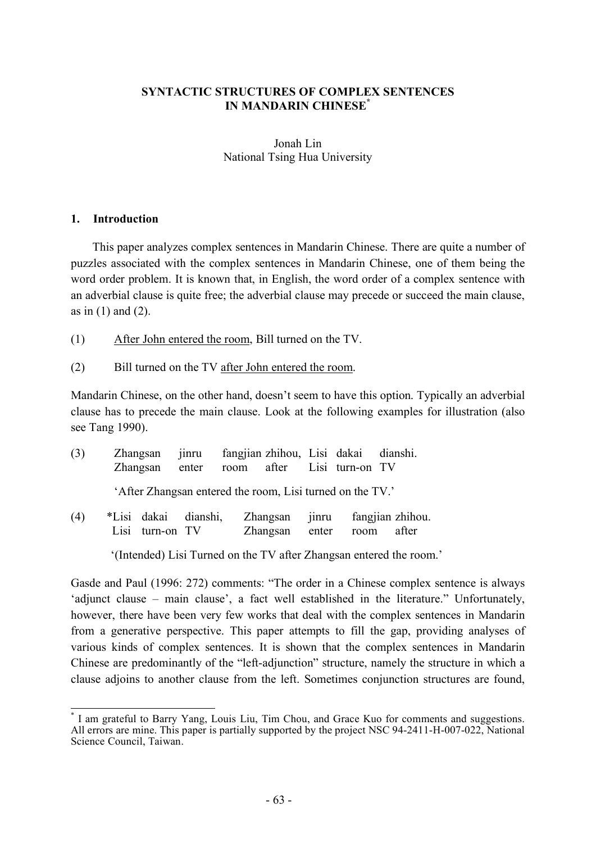### **SYNTACTIC STRUCTURES OF COMPLEX SENTENCES IN MANDARIN CHINESE\***

### Jonah Lin National Tsing Hua University

#### **1. Introduction**

This paper analyzes complex sentences in Mandarin Chinese. There are quite a number of puzzles associated with the complex sentences in Mandarin Chinese, one of them being the word order problem. It is known that, in English, the word order of a complex sentence with an adverbial clause is quite free; the adverbial clause may precede or succeed the main clause, as in  $(1)$  and  $(2)$ .

- (1) After John entered the room, Bill turned on the TV.
- (2) Bill turned on the TV after John entered the room.

Mandarin Chinese, on the other hand, doesn't seem to have this option. Typically an adverbial clause has to precede the main clause. Look at the following examples for illustration (also see Tang 1990).

| (3) |      | Zhangsan<br>Zhangsan enter                                | jinru fangjian zhihou, Lisi dakai dianshi.<br>room after Lisi turn-on TV |                      |       |      |                                 |
|-----|------|-----------------------------------------------------------|--------------------------------------------------------------------------|----------------------|-------|------|---------------------------------|
|     |      | 'After Zhangsan entered the room, Lisi turned on the TV.' |                                                                          |                      |       |      |                                 |
| (4) | Lisi | *Lisi dakai dianshi,<br>turn-on TV                        |                                                                          | Zhangsan<br>Zhangsan | enter | room | jinru fangjian zhihou.<br>after |

'(Intended) Lisi Turned on the TV after Zhangsan entered the room.'

Gasde and Paul (1996: 272) comments: "The order in a Chinese complex sentence is always 'adjunct clause – main clause', a fact well established in the literature." Unfortunately, however, there have been very few works that deal with the complex sentences in Mandarin from a generative perspective. This paper attempts to fill the gap, providing analyses of various kinds of complex sentences. It is shown that the complex sentences in Mandarin Chinese are predominantly of the "left-adjunction" structure, namely the structure in which a clause adjoins to another clause from the left. Sometimes conjunction structures are found,

\* I am grateful to Barry Yang, Louis Liu, Tim Chou, and Grace Kuo for comments and suggestions. All errors are mine. This paper is partially supported by the project NSC 94-2411-H-007-022, National Science Council, Taiwan.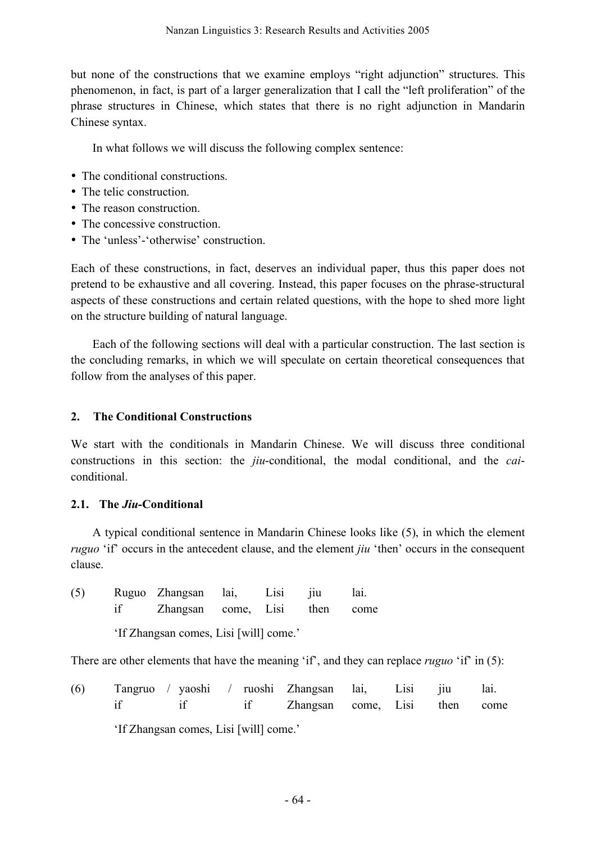but none of the constructions that we examine employs "right adjunction" structures. This phenomenon, in fact, is part of a larger generalization that I call the "left proliferation" of the phrase structures in Chinese, which states that there is no right adjunction in Mandarin Chinese syntax.

In what follows we will discuss the following complex sentence:

- The conditional constructions.
- The telic construction.
- The reason construction.
- The concessive construction.
- The 'unless'-'otherwise' construction.

Each of these constructions, in fact, deserves an individual paper, thus this paper does not pretend to be exhaustive and all covering. Instead, this paper focuses on the phrase-structural aspects of these constructions and certain related questions, with the hope to shed more light on the structure building of natural language.

Each of the following sections will deal with a particular construction. The last section is the concluding remarks, in which we will speculate on certain theoretical consequences that follow from the analyses of this paper.

## **2. The Conditional Constructions**

We start with the conditionals in Mandarin Chinese. We will discuss three conditional constructions in this section: the *jiu*-conditional, the modal conditional, and the *cai*conditional.

# **2.1. The** *Jiu***-Conditional**

A typical conditional sentence in Mandarin Chinese looks like (5), in which the element *ruguo* 'if' occurs in the antecedent clause, and the element *jiu* 'then' occurs in the consequent clause.

| (5) | Ruguo Zhangsan lai, Lisi jiu  |  | lai. |
|-----|-------------------------------|--|------|
|     | Zhangsan come, Lisi then come |  |      |

'If Zhangsan comes, Lisi [will] come.'

There are other elements that have the meaning 'if', and they can replace *ruguo* 'if' in (5):

| (6) | Tangruo / yaoshi / ruoshi Zhangsan lai, Lisi jiu lai. |  |                                  |  |  |
|-----|-------------------------------------------------------|--|----------------------------------|--|--|
|     |                                                       |  | if Zhangsan come, Lisi then come |  |  |

'If Zhangsan comes, Lisi [will] come.'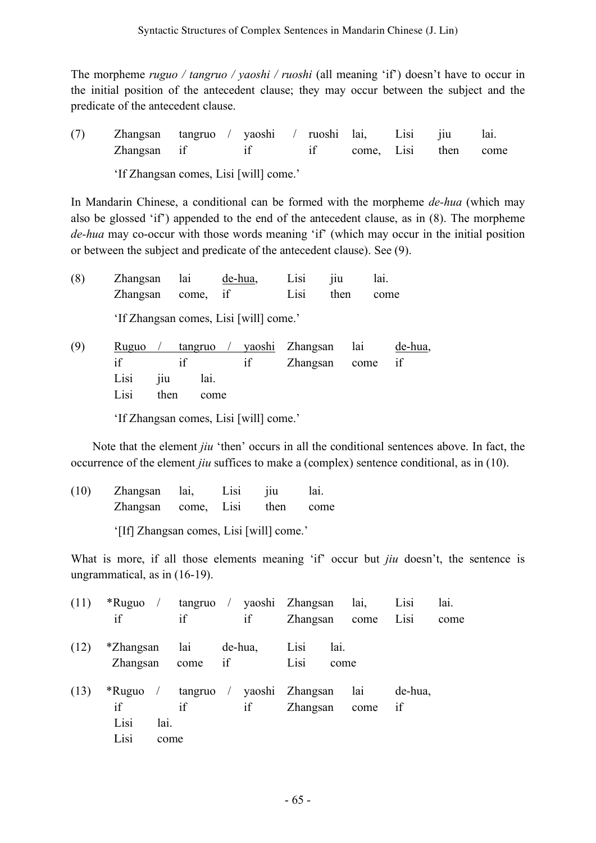The morpheme *ruguo / tangruo / yaoshi / ruoshi* (all meaning 'if') doesn't have to occur in the initial position of the antecedent clause; they may occur between the subject and the predicate of the antecedent clause.

(7) Zhangsan tangruo / yaoshi / ruoshi lai, Lisi jiu lai. Zhangsan if if if come, Lisi then come

'If Zhangsan comes, Lisi [will] come.'

In Mandarin Chinese, a conditional can be formed with the morpheme *de-hua* (which may also be glossed 'if') appended to the end of the antecedent clause, as in (8). The morpheme *de-hua* may co-occur with those words meaning 'if' (which may occur in the initial position or between the subject and predicate of the antecedent clause). See (9).

(8) Zhangsan lai de-hua, Lisi jiu lai. Zhangsan come, if Lisi then come 'If Zhangsan comes, Lisi [will] come.' (9) Ruguo / tangruo / yaoshi Zhangsan lai de-hua, if if if Zhangsan come if Lisi jiu lai.

Lisi then come

'If Zhangsan comes, Lisi [will] come.'

Note that the element *jiu* 'then' occurs in all the conditional sentences above. In fact, the occurrence of the element *jiu* suffices to make a (complex) sentence conditional, as in (10).

(10) Zhangsan lai, Lisi jiu lai. Zhangsan come, Lisi then come '[If] Zhangsan comes, Lisi [will] come.'

What is more, if all those elements meaning 'if' occur but *jiu* doesn't, the sentence is ungrammatical, as in (16-19).

| (11) | $*$ Ruguo /<br>if                 | if                 | if      | tangruo / yaoshi Zhangsan<br>Zhangsan | lai,<br>come         | Lisi<br>Lisi  | lai.<br>come |
|------|-----------------------------------|--------------------|---------|---------------------------------------|----------------------|---------------|--------------|
| (12) | *Zhangsan<br>Zhangsan             | lai<br>come if     | de-hua, | Lisi<br>Lisi                          | lai.<br>come         |               |              |
| (13) | $*$ Ruguo /<br>if<br>Lisi<br>Lisi | if<br>lai.<br>come | if      | tangruo / yaoshi Zhangsan             | lai<br>Zhangsan come | de-hua.<br>if |              |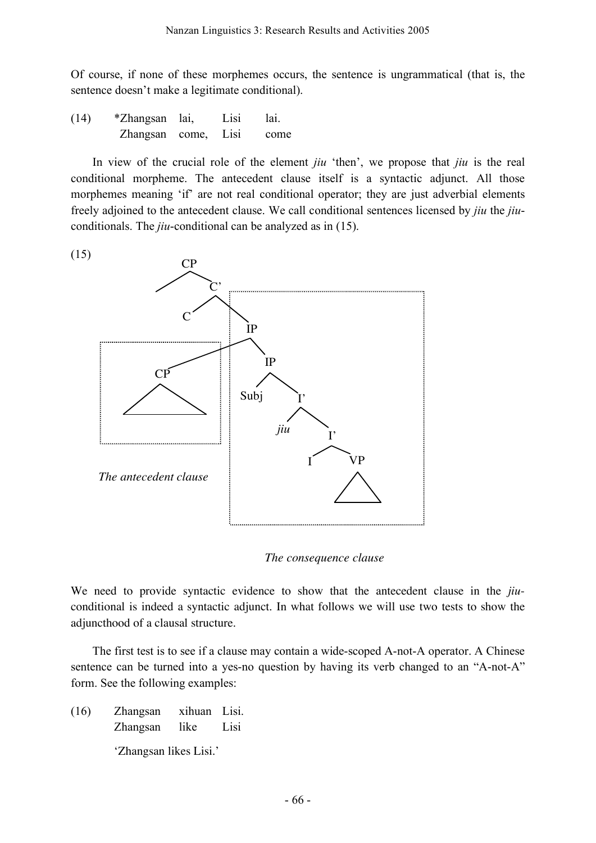Of course, if none of these morphemes occurs, the sentence is ungrammatical (that is, the sentence doesn't make a legitimate conditional).

(14) \*Zhangsan lai, Lisi lai. Zhangsan come, Lisi come

In view of the crucial role of the element *jiu* 'then', we propose that *jiu* is the real conditional morpheme. The antecedent clause itself is a syntactic adjunct. All those morphemes meaning 'if' are not real conditional operator; they are just adverbial elements freely adjoined to the antecedent clause. We call conditional sentences licensed by *jiu* the *jiu*conditionals. The *jiu*-conditional can be analyzed as in (15).



*The consequence clause*

We need to provide syntactic evidence to show that the antecedent clause in the *jiu*conditional is indeed a syntactic adjunct. In what follows we will use two tests to show the adjuncthood of a clausal structure.

The first test is to see if a clause may contain a wide-scoped A-not-A operator. A Chinese sentence can be turned into a yes-no question by having its verb changed to an "A-not-A" form. See the following examples:

(16) Zhangsan xihuan Lisi. Zhangsan like Lisi 'Zhangsan likes Lisi.'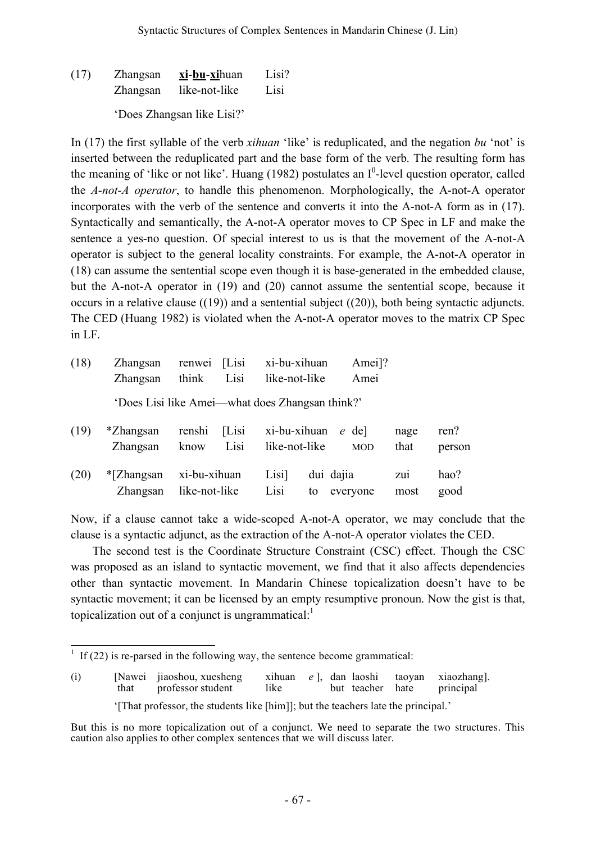(17) Zhangsan **xi**-**bu**-**xi**huan Lisi? Zhangsan like-not-like Lisi

'Does Zhangsan like Lisi?'

In (17) the first syllable of the verb *xihuan* 'like' is reduplicated, and the negation *bu* 'not' is inserted between the reduplicated part and the base form of the verb. The resulting form has the meaning of 'like or not like'. Huang (1982) postulates an  $I^0$ -level question operator, called the *A-not-A operator*, to handle this phenomenon. Morphologically, the A-not-A operator incorporates with the verb of the sentence and converts it into the A-not-A form as in (17). Syntactically and semantically, the A-not-A operator moves to CP Spec in LF and make the sentence a yes-no question. Of special interest to us is that the movement of the A-not-A operator is subject to the general locality constraints. For example, the A-not-A operator in (18) can assume the sentential scope even though it is base-generated in the embedded clause, but the A-not-A operator in (19) and (20) cannot assume the sentential scope, because it occurs in a relative clause ((19)) and a sentential subject ((20)), both being syntactic adjuncts. The CED (Huang 1982) is violated when the A-not-A operator moves to the matrix CP Spec in LF.

| (18) | Zhangsan<br>Zhangsan                            | renwei<br>think               | [Lisi]<br>Lisi | xi-bu-xihuan<br>like-not-like |                 | Amei]?<br>Amei      |              |                |
|------|-------------------------------------------------|-------------------------------|----------------|-------------------------------|-----------------|---------------------|--------------|----------------|
|      | 'Does Lisi like Amei—what does Zhangsan think?' |                               |                |                               |                 |                     |              |                |
| (19) | *Zhangsan<br>Zhangsan                           | renshi<br>know                | [Lisi]<br>Lisi | xi-bu-xihuan<br>like-not-like |                 | e del<br><b>MOD</b> | nage<br>that | ren?<br>person |
| (20) | $*$ [Zhangsan<br>Zhangsan                       | xi-bu-xihuan<br>like-not-like |                | Lisi]<br>Lisi                 | dui dajia<br>to | everyone            | Zui<br>most  | hao?<br>good   |

Now, if a clause cannot take a wide-scoped A-not-A operator, we may conclude that the clause is a syntactic adjunct, as the extraction of the A-not-A operator violates the CED.

The second test is the Coordinate Structure Constraint (CSC) effect. Though the CSC was proposed as an island to syntactic movement, we find that it also affects dependencies other than syntactic movement. In Mandarin Chinese topicalization doesn't have to be syntactic movement; it can be licensed by an empty resumptive pronoun. Now the gist is that, topicalization out of a conjunct is ungrammatical:<sup>1</sup>

 $1 \text{ If } (22)$  is re-parsed in the following way, the sentence become grammatical:

<sup>(</sup>i) [Nawei jiaoshou, xuesheng xihuan *e* ], dan laoshi taoyan xiaozhang].<br>
that professor student like but teacher hate principal professor student '[That professor, the students like [him]]; but the teachers late the principal.'

But this is no more topicalization out of a conjunct. We need to separate the two structures. This caution also applies to other complex sentences that we will discuss later.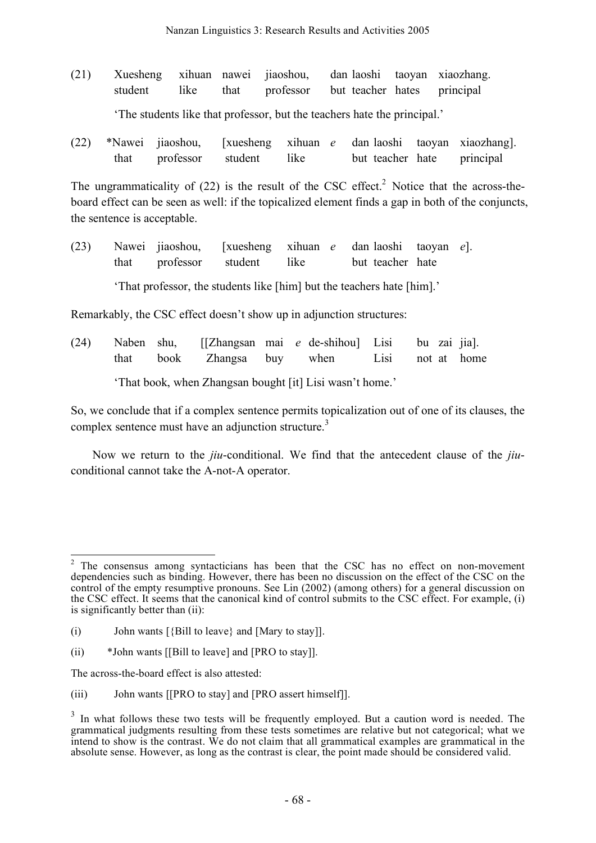- (21) Xuesheng xihuan nawei jiaoshou, dan laoshi taoyan xiaozhang. student like that professor but teacher hates principal 'The students like that professor, but the teachers hate the principal.'
- (22) \*Nawei jiaoshou, [xuesheng xihuan *e* dan laoshi taoyan xiaozhang]. that professor student like but teacher hate principal

The ungrammaticality of  $(22)$  is the result of the CSC effect.<sup>2</sup> Notice that the across-theboard effect can be seen as well: if the topicalized element finds a gap in both of the conjuncts, the sentence is acceptable.

(23) Nawei jiaoshou, [xuesheng xihuan *e* dan laoshi taoyan *e*]. that professor student like but teacher hate 'That professor, the students like [him] but the teachers hate [him].'

Remarkably, the CSC effect doesn't show up in adjunction structures:

(24) Naben shu, [[Zhangsan mai *e* de-shihou] Lisi bu zai jia]. that book Zhangsa buy when Lisi not at home 'That book, when Zhangsan bought [it] Lisi wasn't home.'

So, we conclude that if a complex sentence permits topicalization out of one of its clauses, the complex sentence must have an adjunction structure.<sup>3</sup>

Now we return to the *jiu*-conditional. We find that the antecedent clause of the *jiu*conditional cannot take the A-not-A operator.

The across-the-board effect is also attested:

<sup>&</sup>lt;sup>2</sup> The consensus among syntacticians has been that the CSC has no effect on non-movement dependencies such as binding. However, there has been no discussion on the effect of the CSC on the control of the empty resumptive pronouns. See Lin (2002) (among others) for a general discussion on the CSC effect. It seems that the canonical kind of control submits to the CSC effect. For example, (i) is significantly better than (ii):

<sup>(</sup>i) John wants  $[\{\text{Bill to leave}\}]$  and  $[\text{Mary to stay}]]$ .

<sup>(</sup>ii) \*John wants [[Bill to leave] and [PRO to stay]].

<sup>(</sup>iii) John wants [[PRO to stay] and [PRO assert himself]].

 $3\,$  In what follows these two tests will be frequently employed. But a caution word is needed. The grammatical judgments resulting from these tests sometimes are relative but not categorical; what we intend to show is the contrast. We do not claim that all grammatical examples are grammatical in the absolute sense. However, as long as the contrast is clear, the point made should be considered valid.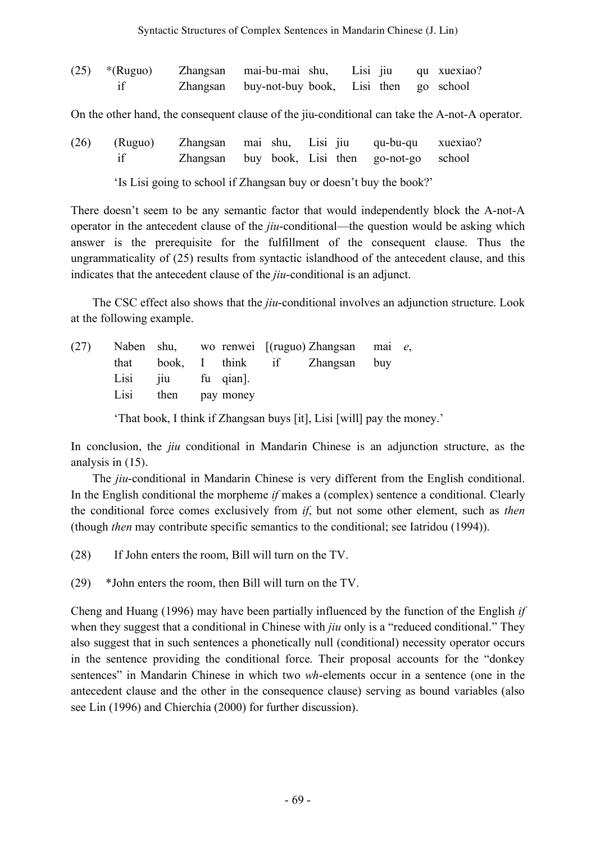| $(25)$ *(Ruguo) | Zhangsan mai-bu-mai shu, Lisi jiu qu xuexiao?  |  |  |
|-----------------|------------------------------------------------|--|--|
|                 | Zhangsan buy-not-buy book, Lisi then go school |  |  |

On the other hand, the consequent clause of the jiu-conditional can take the A-not-A operator.

(26) (Ruguo) Zhangsan mai shu, Lisi jiu qu-bu-qu xuexiao? if Zhangsan buy book, Lisi then go-not-go school

'Is Lisi going to school if Zhangsan buy or doesn't buy the book?'

There doesn't seem to be any semantic factor that would independently block the A-not-A operator in the antecedent clause of the *jiu*-conditional—the question would be asking which answer is the prerequisite for the fulfillment of the consequent clause. Thus the ungrammaticality of (25) results from syntactic islandhood of the antecedent clause, and this indicates that the antecedent clause of the *jiu*-conditional is an adjunct.

The CSC effect also shows that the *jiu*-conditional involves an adjunction structure. Look at the following example.

| (27) |                     |  | Naben shu, wo renwei $[(\text{ruguo}) \text{ Zhangsan} \text{ mai } e,$ |  |
|------|---------------------|--|-------------------------------------------------------------------------|--|
|      |                     |  | that book, I think if Zhangsan buy                                      |  |
|      | Lisi jiu fu qian.   |  |                                                                         |  |
|      | Lisi then pay money |  |                                                                         |  |
|      |                     |  |                                                                         |  |

'That book, I think if Zhangsan buys [it], Lisi [will] pay the money.'

In conclusion, the *jiu* conditional in Mandarin Chinese is an adjunction structure, as the analysis in (15).

The *jiu*-conditional in Mandarin Chinese is very different from the English conditional. In the English conditional the morpheme *if* makes a (complex) sentence a conditional. Clearly the conditional force comes exclusively from *if*, but not some other element, such as *then* (though *then* may contribute specific semantics to the conditional; see Iatridou (1994)).

(28) If John enters the room, Bill will turn on the TV.

(29) \*John enters the room, then Bill will turn on the TV.

Cheng and Huang (1996) may have been partially influenced by the function of the English *if* when they suggest that a conditional in Chinese with *jiu* only is a "reduced conditional." They also suggest that in such sentences a phonetically null (conditional) necessity operator occurs in the sentence providing the conditional force. Their proposal accounts for the "donkey sentences" in Mandarin Chinese in which two *wh*-elements occur in a sentence (one in the antecedent clause and the other in the consequence clause) serving as bound variables (also see Lin (1996) and Chierchia (2000) for further discussion).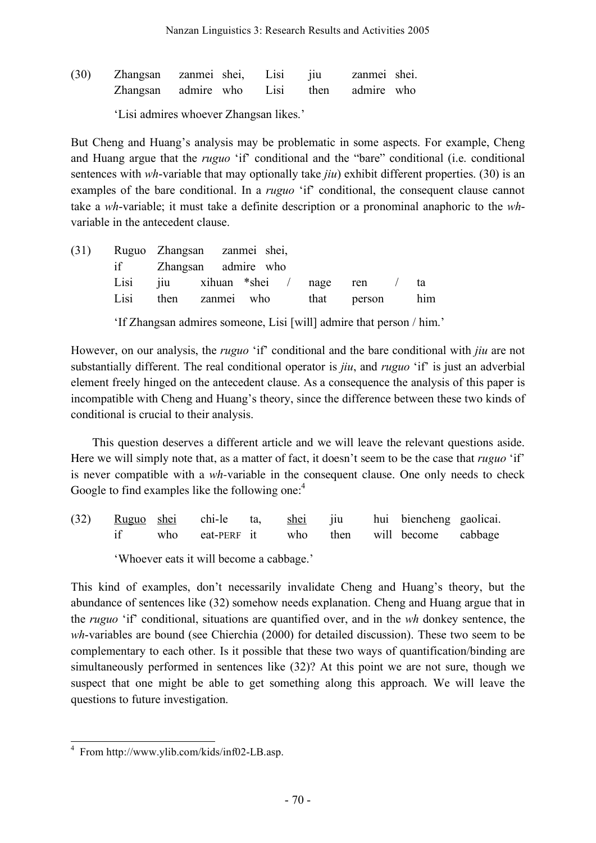| (30) | Zhangsan zanmei shei, Lisi jiu           |  |  | zanmei shei. |  |
|------|------------------------------------------|--|--|--------------|--|
|      | Zhangsan admire who Lisi then admire who |  |  |              |  |

'Lisi admires whoever Zhangsan likes.'

But Cheng and Huang's analysis may be problematic in some aspects. For example, Cheng and Huang argue that the *ruguo* 'if' conditional and the "bare" conditional (i.e. conditional sentences with *wh*-variable that may optionally take *jiu*) exhibit different properties. (30) is an examples of the bare conditional. In a *ruguo* 'if' conditional, the consequent clause cannot take a *wh*-variable; it must take a definite description or a pronominal anaphoric to the *wh*variable in the antecedent clause.

|      | (31) Ruguo Zhangsan zanmei shei,      |  |  |  |
|------|---------------------------------------|--|--|--|
|      | if Zhangsan admire who                |  |  |  |
|      | Lisi jiu xihuan *shei / nage ren / ta |  |  |  |
| Lisi | then zanmei who that person him       |  |  |  |
|      |                                       |  |  |  |

'If Zhangsan admires someone, Lisi [will] admire that person / him.'

However, on our analysis, the *ruguo* 'if' conditional and the bare conditional with *jiu* are not substantially different. The real conditional operator is *jiu*, and *ruguo* 'if' is just an adverbial element freely hinged on the antecedent clause. As a consequence the analysis of this paper is incompatible with Cheng and Huang's theory, since the difference between these two kinds of conditional is crucial to their analysis.

This question deserves a different article and we will leave the relevant questions aside. Here we will simply note that, as a matter of fact, it doesn't seem to be the case that *ruguo* 'if' is never compatible with a *wh*-variable in the consequent clause. One only needs to check Google to find examples like the following one:<sup>4</sup>

(32) Ruguo shei chi-le ta, shei jiu hui biencheng gaolicai. if who eat-PERF it who then will become cabbage 'Whoever eats it will become a cabbage.'

This kind of examples, don't necessarily invalidate Cheng and Huang's theory, but the abundance of sentences like (32) somehow needs explanation. Cheng and Huang argue that in the *ruguo* 'if' conditional, situations are quantified over, and in the *wh* donkey sentence, the *wh*-variables are bound (see Chierchia (2000) for detailed discussion). These two seem to be complementary to each other. Is it possible that these two ways of quantification/binding are simultaneously performed in sentences like (32)? At this point we are not sure, though we suspect that one might be able to get something along this approach. We will leave the questions to future investigation.

<sup>4</sup> From http://www.ylib.com/kids/inf02-LB.asp.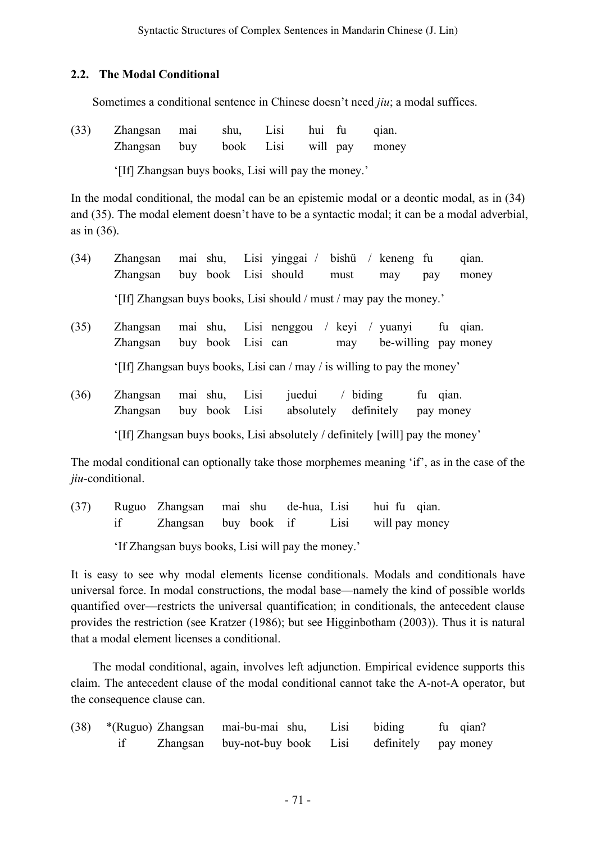## **2.2. The Modal Conditional**

Sometimes a conditional sentence in Chinese doesn't need *jiu*; a modal suffices.

(33) Zhangsan mai shu, Lisi hui fu qian. Zhangsan buy book Lisi will pay money '[If] Zhangsan buys books, Lisi will pay the money.'

In the modal conditional, the modal can be an epistemic modal or a deontic modal, as in (34) and (35). The modal element doesn't have to be a syntactic modal; it can be a modal adverbial, as in (36).

- (34) Zhangsan mai shu, Lisi yinggai / bishü / keneng fu qian. Zhangsan buy book Lisi should must may pay money '[If] Zhangsan buys books, Lisi should / must / may pay the money.'
- (35) Zhangsan mai shu, Lisi nenggou / keyi / yuanyi fu qian. Zhangsan buy book Lisi can may be-willing pay money '[If] Zhangsan buys books, Lisi can / may / is willing to pay the money'
- (36) Zhangsan mai shu, Lisi juedui / biding fu qian. Zhangsan buy book Lisi absolutely definitely pay money '[If] Zhangsan buys books, Lisi absolutely / definitely [will] pay the money'

The modal conditional can optionally take those morphemes meaning 'if', as in the case of the *jiu*-conditional.

(37) Ruguo Zhangsan mai shu de-hua, Lisi hui fu qian. if Zhangsan buy book if Lisi will pay money

'If Zhangsan buys books, Lisi will pay the money.'

It is easy to see why modal elements license conditionals. Modals and conditionals have universal force. In modal constructions, the modal base—namely the kind of possible worlds quantified over—restricts the universal quantification; in conditionals, the antecedent clause provides the restriction (see Kratzer (1986); but see Higginbotham (2003)). Thus it is natural that a modal element licenses a conditional.

The modal conditional, again, involves left adjunction. Empirical evidence supports this claim. The antecedent clause of the modal conditional cannot take the A-not-A operator, but the consequence clause can.

|  | (38) *(Ruguo) Zhangsan mai-bu-mai shu, Lisi biding fu qian? |  |  |
|--|-------------------------------------------------------------|--|--|
|  | Zhangsan buy-not-buy-book Lisi definitely pay-money         |  |  |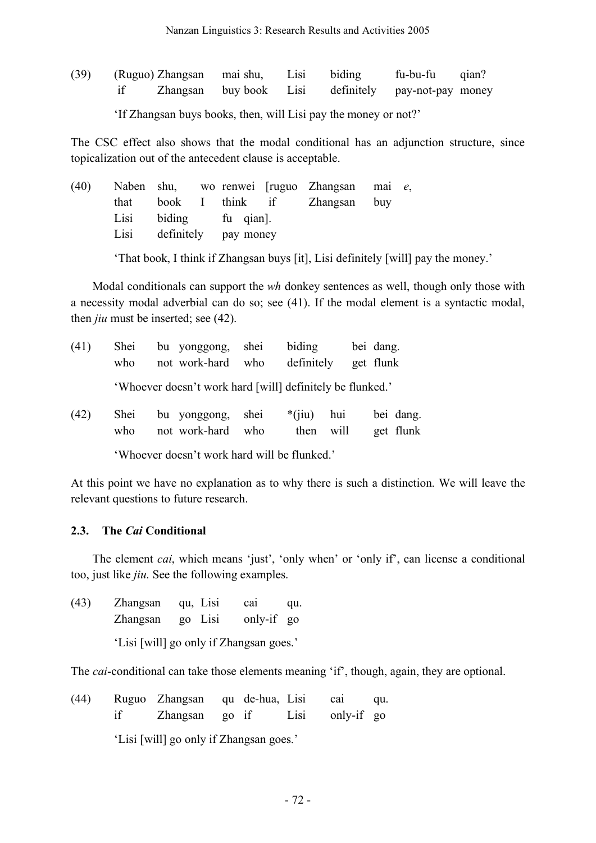| (39) | (Ruguo) Zhangsan mai shu, Lisi biding |  | fu-bu-fu qian?                                     |  |
|------|---------------------------------------|--|----------------------------------------------------|--|
|      |                                       |  | Zhangsan buybook Lisi definitely pay-not-pay money |  |

'If Zhangsan buys books, then, will Lisi pay the money or not?'

The CSC effect also shows that the modal conditional has an adjunction structure, since topicalization out of the antecedent clause is acceptable.

|  |                           |  | (40) Naben shu, wo renwei [ruguo Zhangsan mai e, |  |
|--|---------------------------|--|--------------------------------------------------|--|
|  |                           |  | that book I think if Zhangsan buy                |  |
|  | Lisi biding fu qian.      |  |                                                  |  |
|  | Lisi definitely pay money |  |                                                  |  |
|  |                           |  |                                                  |  |

'That book, I think if Zhangsan buys [it], Lisi definitely [will] pay the money.'

Modal conditionals can support the *wh* donkey sentences as well, though only those with a necessity modal adverbial can do so; see (41). If the modal element is a syntactic modal, then *jiu* must be inserted; see (42).

| (41) | Shei<br>who | bu yonggong, shei<br>not work-hard who                    |     | biding<br>definitely |             | bei dang.<br>get flunk |
|------|-------------|-----------------------------------------------------------|-----|----------------------|-------------|------------------------|
|      |             | 'Whoever doesn't work hard [will] definitely be flunked.' |     |                      |             |                        |
| (42) | Shei<br>who | bu yonggong, shei<br>not work-hard                        | who | $*(iii)$<br>then     | hui<br>will | bei dang.<br>get flunk |

'Whoever doesn't work hard will be flunked.'

At this point we have no explanation as to why there is such a distinction. We will leave the relevant questions to future research.

## **2.3. The** *Cai* **Conditional**

The element *cai*, which means 'just', 'only when' or 'only if', can license a conditional too, just like *jiu*. See the following examples.

| (43) | Zhangsan qu, Lisi |                                         | cai        | qu. |
|------|-------------------|-----------------------------------------|------------|-----|
|      | Zhangsan          | go Lisi                                 | only-if go |     |
|      |                   | 'Lisi [will] go only if Zhangsan goes.' |            |     |

The *cai*-conditional can take those elements meaning 'if', though, again, they are optional.

| (44) | Ruguo Zhangsan qu de-hua, Lisi |  | cai             | qu. |
|------|--------------------------------|--|-----------------|-----|
|      | Zhangsan go if                 |  | Lisi only-if go |     |

'Lisi [will] go only if Zhangsan goes.'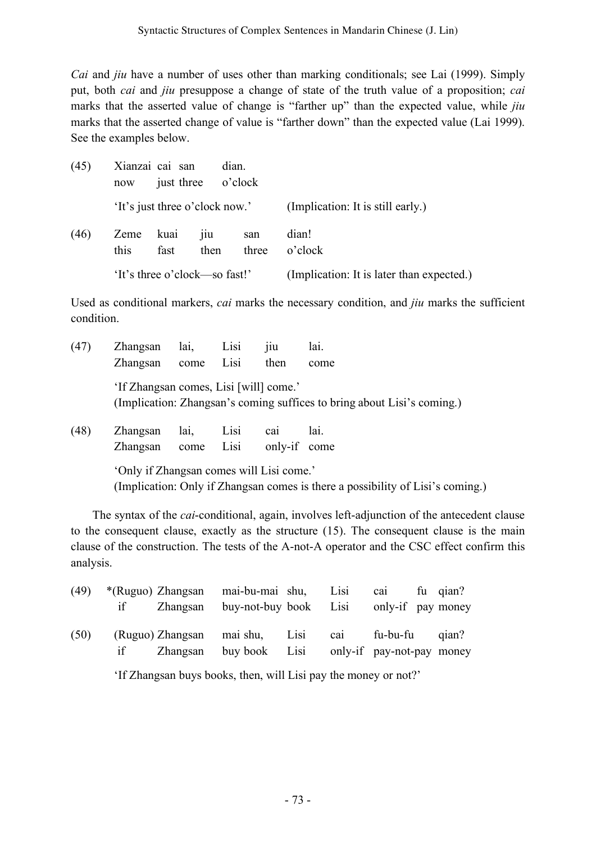*Cai* and *jiu* have a number of uses other than marking conditionals; see Lai (1999). Simply put, both *cai* and *jiu* presuppose a change of state of the truth value of a proposition; *cai* marks that the asserted value of change is "farther up" than the expected value, while *jiu* marks that the asserted change of value is "farther down" than the expected value (Lai 1999). See the examples below.

| (45) | now          | Xianzai cai san<br>just three |                                | dian.<br>o'clock |                                           |
|------|--------------|-------------------------------|--------------------------------|------------------|-------------------------------------------|
|      |              |                               | 'It's just three o'clock now.' |                  | (Implication: It is still early.)         |
| (46) | Zeme<br>this | kuai<br>fast                  | $\overline{1}1u$<br>then       | san<br>three     | dian!<br>o'clock                          |
|      |              |                               | 'It's three o'clock—so fast!'  |                  | (Implication: It is later than expected.) |

Used as conditional markers, *cai* marks the necessary condition, and *jiu* marks the sufficient condition.

| (47) | Zhangsan                                 | lai,         | Lisi         | jiu                             | lai.                                                                    |
|------|------------------------------------------|--------------|--------------|---------------------------------|-------------------------------------------------------------------------|
|      | Zhangsan                                 | come         | Lisi         | then                            | come                                                                    |
|      | 'If Zhangsan comes, Lisi [will] come.'   |              |              |                                 | (Implication: Zhangsan's coming suffices to bring about Lisi's coming.) |
| (48) | Zhangsan<br>Zhangsan                     | lai,<br>come | Lisi<br>Lisi | ca <sub>1</sub><br>only-if come | lai.                                                                    |
|      | 'Only if Zhangsan comes will Lisi come.' |              |              |                                 |                                                                         |

(Implication: Only if Zhangsan comes is there a possibility of Lisi's coming.)

The syntax of the *cai*-conditional, again, involves left-adjunction of the antecedent clause to the consequent clause, exactly as the structure (15). The consequent clause is the main clause of the construction. The tests of the A-not-A operator and the CSC effect confirm this analysis.

| (49) |  | *(Ruguo) Zhangsan mai-bu-mai shu, Lisi cai fu qian? |  |                           |  |
|------|--|-----------------------------------------------------|--|---------------------------|--|
|      |  | Zhangsan buy-not-buy book Lisi only-if pay money    |  |                           |  |
|      |  |                                                     |  |                           |  |
| (50) |  | (Ruguo) Zhangsan mai shu, Lisi cai fu-bu-fu qian?   |  |                           |  |
|      |  | Zhangsan buy-book Lisi                              |  | only-if pay-not-pay money |  |

'If Zhangsan buys books, then, will Lisi pay the money or not?'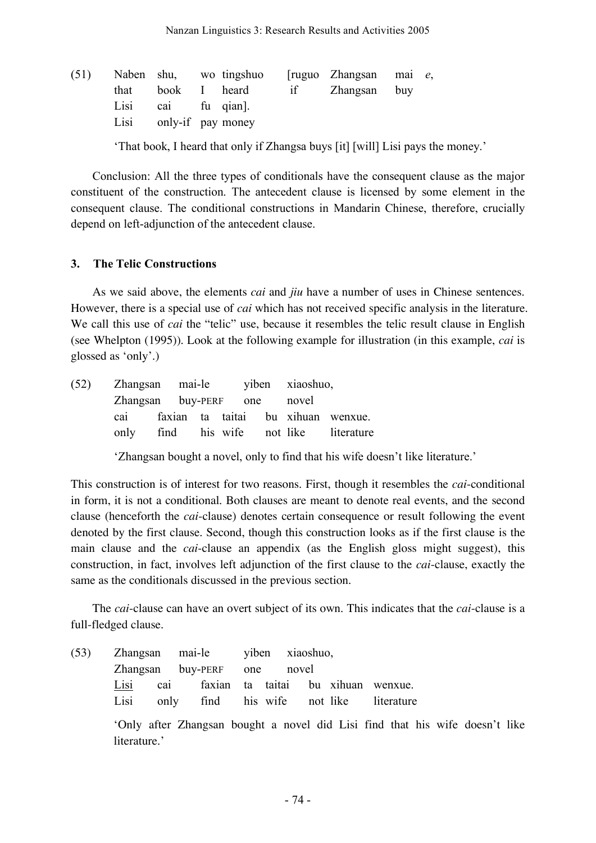| (51) |                        |  | Naben shu, wo tingshuo [ruguo Zhangsan mai $e$ , |  |
|------|------------------------|--|--------------------------------------------------|--|
|      |                        |  | that book I heard if Zhangsan buy                |  |
|      | Lisi cai fu qian.      |  |                                                  |  |
|      | Lisi only-if pay money |  |                                                  |  |

'That book, I heard that only if Zhangsa buys [it] [will] Lisi pays the money.'

Conclusion: All the three types of conditionals have the consequent clause as the major constituent of the construction. The antecedent clause is licensed by some element in the consequent clause. The conditional constructions in Mandarin Chinese, therefore, crucially depend on left-adjunction of the antecedent clause.

#### **3. The Telic Constructions**

As we said above, the elements *cai* and *jiu* have a number of uses in Chinese sentences. However, there is a special use of *cai* which has not received specific analysis in the literature. We call this use of *cai* the "telic" use, because it resembles the telic result clause in English (see Whelpton (1995)). Look at the following example for illustration (in this example, *cai* is glossed as 'only'.)

| (52) Zhangsan mai-le viben xiaoshuo, |  |  |  |  |  |                                        |  |
|--------------------------------------|--|--|--|--|--|----------------------------------------|--|
| Zhangsan buy-PERF one novel          |  |  |  |  |  |                                        |  |
|                                      |  |  |  |  |  | cai faxian ta taitai bu xihuan wenxue. |  |
|                                      |  |  |  |  |  | only find his wife not like literature |  |
|                                      |  |  |  |  |  |                                        |  |

'Zhangsan bought a novel, only to find that his wife doesn't like literature.'

This construction is of interest for two reasons. First, though it resembles the *cai*-conditional in form, it is not a conditional. Both clauses are meant to denote real events, and the second clause (henceforth the *cai*-clause) denotes certain consequence or result following the event denoted by the first clause. Second, though this construction looks as if the first clause is the main clause and the *cai*-clause an appendix (as the English gloss might suggest), this construction, in fact, involves left adjunction of the first clause to the *cai*-clause, exactly the same as the conditionals discussed in the previous section.

The *cai*-clause can have an overt subject of its own. This indicates that the *cai*-clause is a full-fledged clause.

(53) Zhangsan mai-le yiben xiaoshuo, Zhangsan buy-PERF one novel Lisi cai faxian ta taitai bu xihuan wenxue. Lisi only find his wife not like literature

> 'Only after Zhangsan bought a novel did Lisi find that his wife doesn't like literature.'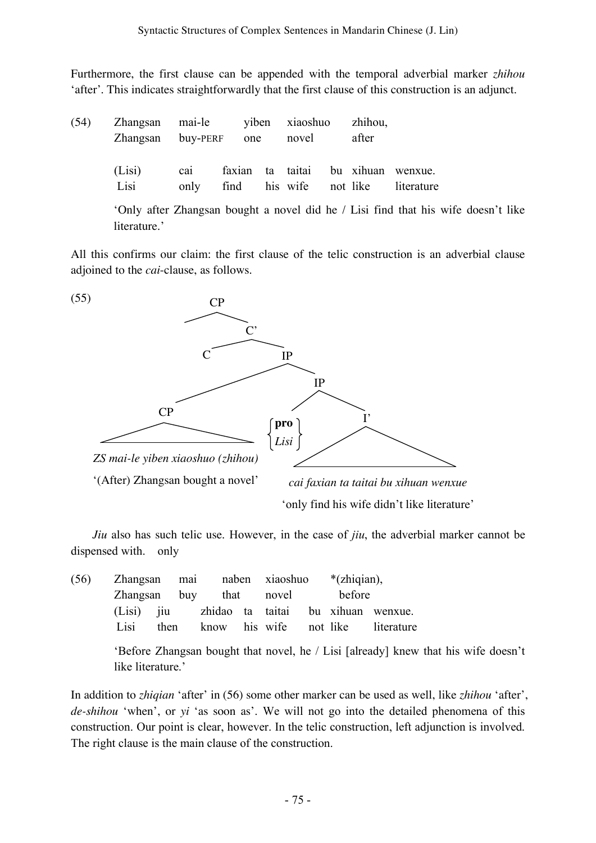Furthermore, the first clause can be appended with the temporal adverbial marker *zhihou* 'after'. This indicates straightforwardly that the first clause of this construction is an adjunct.

| (54) | Zhangsan mai-le viben xiaoshuo zhihou,<br>Zhangsan buy-PERF one |             |      |  | novel | after |                                                                    |
|------|-----------------------------------------------------------------|-------------|------|--|-------|-------|--------------------------------------------------------------------|
|      | (Lisi)<br>Lisi                                                  | cal<br>only | find |  |       |       | faxian ta taitai bu xihuan wenxue.<br>his wife not like literature |

'Only after Zhangsan bought a novel did he / Lisi find that his wife doesn't like literature.'

All this confirms our claim: the first clause of the telic construction is an adverbial clause adjoined to the *cai*-clause, as follows.



*Jiu* also has such telic use. However, in the case of *jiu*, the adverbial marker cannot be dispensed with. only

| (56) | Zhangsan mai naben xiaoshuo *(zhiqian), |      |  |                         |        |                                               |
|------|-----------------------------------------|------|--|-------------------------|--------|-----------------------------------------------|
|      |                                         |      |  | Zhangsan buy that novel | before |                                               |
|      |                                         |      |  |                         |        | (Lisi) jiu zhidao ta taitai bu xihuan wenxue. |
|      | Lisi                                    | then |  |                         |        | know his wife not like literature             |

'Before Zhangsan bought that novel, he / Lisi [already] knew that his wife doesn't like literature.'

In addition to *zhiqian* 'after' in (56) some other marker can be used as well, like *zhihou* 'after', *de-shihou* 'when', or *yi* 'as soon as'. We will not go into the detailed phenomena of this construction. Our point is clear, however. In the telic construction, left adjunction is involved. The right clause is the main clause of the construction.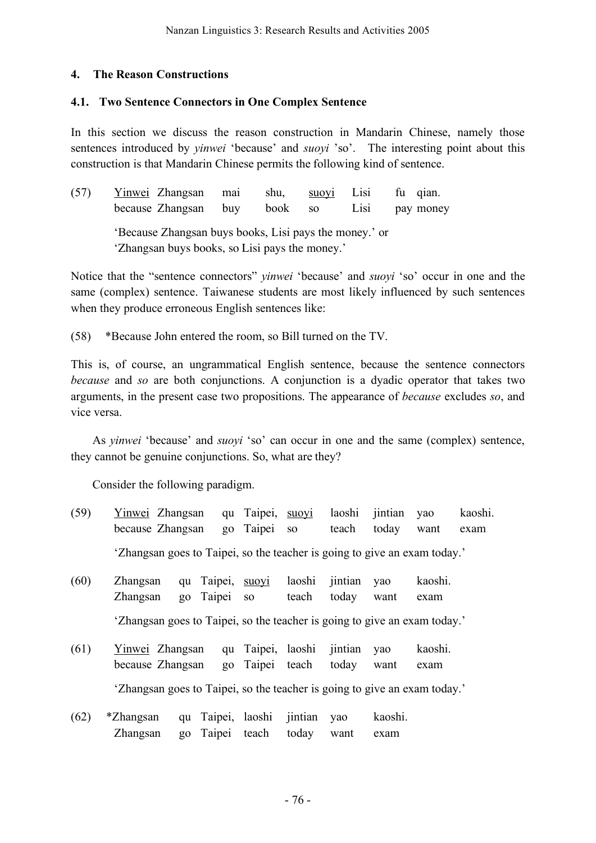## **4. The Reason Constructions**

### **4.1. Two Sentence Connectors in One Complex Sentence**

In this section we discuss the reason construction in Mandarin Chinese, namely those sentences introduced by *yinwei* 'because' and *suoyi* 'so'. The interesting point about this construction is that Mandarin Chinese permits the following kind of sentence.

| (57) | Yinwei Zhangsan<br>because Zhangsan                                                                      | mai<br>buv | shu,<br>book | SO. | $\text{SUO} \text{V1}$ $\qquad \qquad \text{L} \text{IS1}$<br>$L1$ S1 | fu qian.<br>pay money |
|------|----------------------------------------------------------------------------------------------------------|------------|--------------|-----|-----------------------------------------------------------------------|-----------------------|
|      | 'Because Zhangsan buys books, Lisi pays the money.' or<br>'Zhangsan buys books, so Lisi pays the money.' |            |              |     |                                                                       |                       |

Notice that the "sentence connectors" *yinwei* 'because' and *suoyi* 'so' occur in one and the same (complex) sentence. Taiwanese students are most likely influenced by such sentences when they produce erroneous English sentences like:

(58) \*Because John entered the room, so Bill turned on the TV.

This is, of course, an ungrammatical English sentence, because the sentence connectors *because* and *so* are both conjunctions. A conjunction is a dyadic operator that takes two arguments, in the present case two propositions. The appearance of *because* excludes *so*, and vice versa.

As *yinwei* 'because' and *suoyi* 'so' can occur in one and the same (complex) sentence, they cannot be genuine conjunctions. So, what are they?

Consider the following paradigm.

- (59) Yinwei Zhangsan qu Taipei, suoyi laoshi jintian yao kaoshi. because Zhangsan go Taipei so teach today want exam 'Zhangsan goes to Taipei, so the teacher is going to give an exam today.'
- (60) Zhangsan qu Taipei, suoyi laoshi jintian yao kaoshi. Zhangsan go Taipei so teach today want exam 'Zhangsan goes to Taipei, so the teacher is going to give an exam today.'
- (61) Yinwei Zhangsan qu Taipei, laoshi jintian yao kaoshi. because Zhangsan go Taipei teach today want exam 'Zhangsan goes to Taipei, so the teacher is going to give an exam today.'
- (62) \*Zhangsan qu Taipei, laoshi jintian yao kaoshi. Zhangsan go Taipei teach today want exam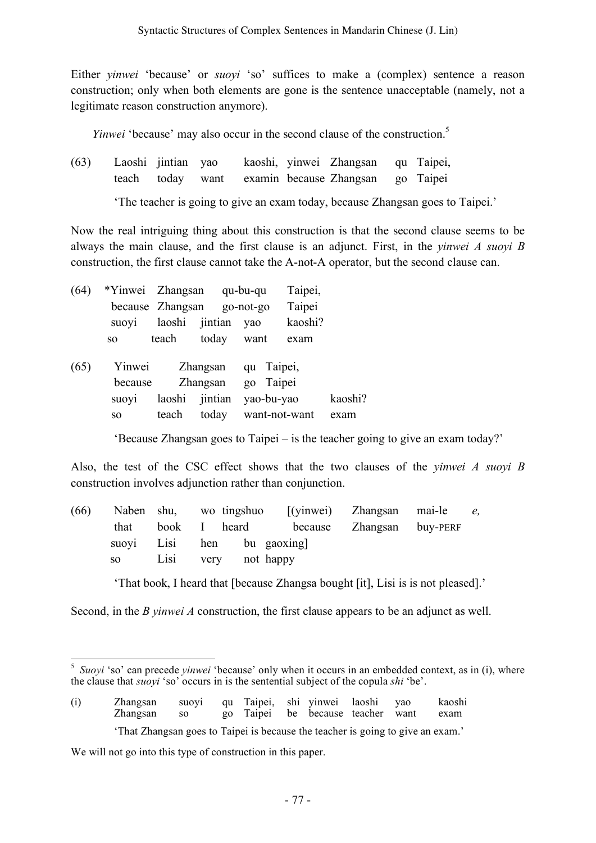Either *yinwei* 'because' or *suoyi* 'so' suffices to make a (complex) sentence a reason construction; only when both elements are gone is the sentence unacceptable (namely, not a legitimate reason construction anymore).

*Yinwei* 'because' may also occur in the second clause of the construction.<sup>5</sup>

(63) Laoshi jintian yao kaoshi, yinwei Zhangsan qu Taipei, teach today want examin because Zhangsan go Taipei

'The teacher is going to give an exam today, because Zhangsan goes to Taipei.'

Now the real intriguing thing about this construction is that the second clause seems to be always the main clause, and the first clause is an adjunct. First, in the *yinwei A suoyi B* construction, the first clause cannot take the A-not-A operator, but the second clause can.

| (64) | *Yinwei Zhangsan |                    |       | qu-bu-qu  | Taipei, |
|------|------------------|--------------------|-------|-----------|---------|
|      |                  | because Zhangsan   |       | go-not-go | Taipei  |
|      | suovi            | laoshi jintian yao |       |           | kaoshi? |
|      | SO.              | teach              | today | want      | exam    |

| suovi |                   |  | kaoshi?                                                                                             |
|-------|-------------------|--|-----------------------------------------------------------------------------------------------------|
| SO -  |                   |  | exam                                                                                                |
|       | Yinwei<br>because |  | Zhangsan qu Taipei,<br>Zhangsan go Taipei<br>laoshi jintian yao-bu-yao<br>teach today want-not-want |

'Because Zhangsan goes to Taipei – is the teacher going to give an exam today?'

Also, the test of the CSC effect shows that the two clauses of the *yinwei A suoyi B* construction involves adjunction rather than conjunction.

| (66) |  |                           |  | Naben shu, wo tingshuo [(yinwei) Zhangsan mai-le e, |  |
|------|--|---------------------------|--|-----------------------------------------------------|--|
|      |  |                           |  | that book I heard because Zhangsan buy-PERF         |  |
|      |  | suovi Lisi hen bu gaoxing |  |                                                     |  |
|      |  | so Lisi very not happy    |  |                                                     |  |

'That book, I heard that [because Zhangsa bought [it], Lisi is is not pleased].'

Second, in the *B yinwei A* construction, the first clause appears to be an adjunct as well.

We will not go into this type of construction in this paper.

<sup>5</sup> *Suoyi* 'so' can precede *yinwei* 'because' only when it occurs in an embedded context, as in (i), where the clause that *suoyi* 'so' occurs in is the sentential subject of the copula *shi* 'be'.

<sup>(</sup>i) Zhangsan suoyi qu Taipei, shi yinwei laoshi yao kaoshi Zhangsan so go Taipei be because teacher want exam 'That Zhangsan goes to Taipei is because the teacher is going to give an exam.'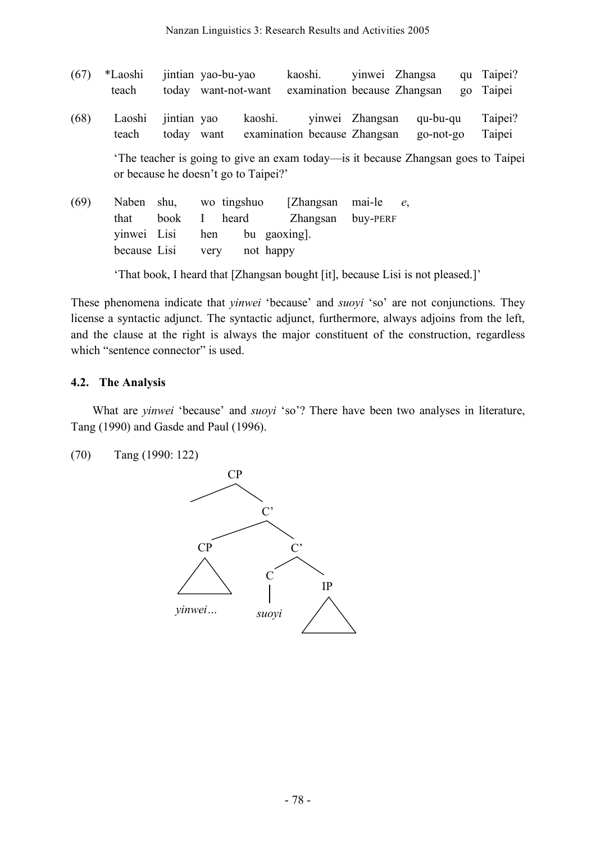| (67) | *Laoshi<br>teach                        |                           | jintian yao-bu-yao               | today want-not-want                  | kaoshi.<br>examination because Zhangsan                                          |                    | vinwei Zhangsa        | qu<br>$90^{\circ}$ | Taipei?<br>Taipei |
|------|-----------------------------------------|---------------------------|----------------------------------|--------------------------------------|----------------------------------------------------------------------------------|--------------------|-----------------------|--------------------|-------------------|
| (68) | Laoshi<br>teach                         | jintian yao<br>today want |                                  | kaoshi.                              | examination because Zhangsan                                                     | yinwei Zhangsan    | qu-bu-qu<br>go-not-go |                    | Taipei?<br>Taipei |
|      |                                         |                           |                                  | or because he doesn't go to Taipei?' | The teacher is going to give an exam today—is it because Zhangsan goes to Taipei |                    |                       |                    |                   |
| (69) | Naben<br>that<br>yinwei<br>because Lisi | shu,<br>book<br>Lisi      | wo tingshuo<br>Ι.<br>hen<br>very | heard<br>bu gaoxing.<br>not happy    | [Zhangsan]<br>Zhangsan                                                           | mai-le<br>buy-PERF | $e_{\rm s}$           |                    |                   |

'That book, I heard that [Zhangsan bought [it], because Lisi is not pleased.]'

These phenomena indicate that *yinwei* 'because' and *suoyi* 'so' are not conjunctions. They license a syntactic adjunct. The syntactic adjunct, furthermore, always adjoins from the left, and the clause at the right is always the major constituent of the construction, regardless which "sentence connector" is used.

#### **4.2. The Analysis**

What are *yinwei* 'because' and *suoyi* 'so'? There have been two analyses in literature, Tang (1990) and Gasde and Paul (1996).

(70) Tang (1990: 122)

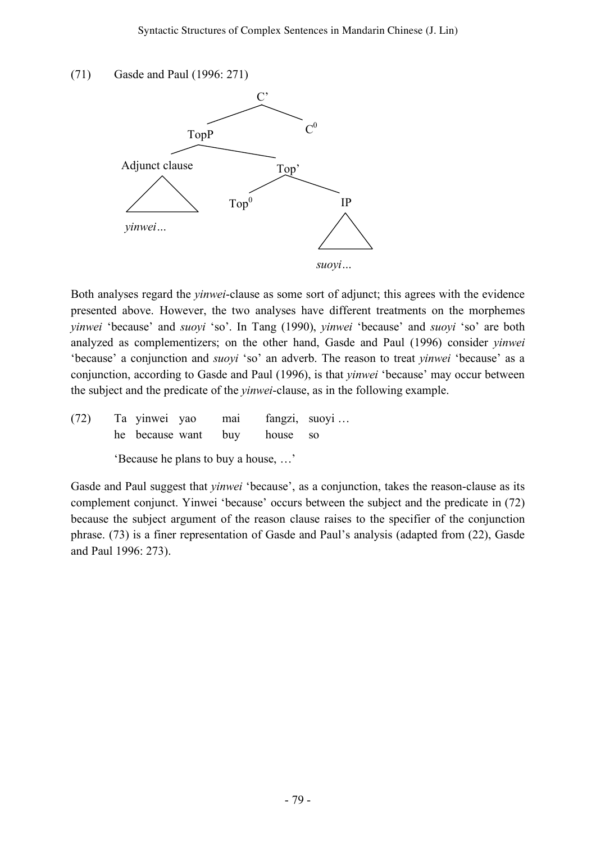### (71) Gasde and Paul (1996: 271)



Both analyses regard the *yinwei*-clause as some sort of adjunct; this agrees with the evidence presented above. However, the two analyses have different treatments on the morphemes *yinwei* 'because' and *suoyi* 'so'. In Tang (1990), *yinwei* 'because' and *suoyi* 'so' are both analyzed as complementizers; on the other hand, Gasde and Paul (1996) consider *yinwei* 'because' a conjunction and *suoyi* 'so' an adverb. The reason to treat *yinwei* 'because' as a conjunction, according to Gasde and Paul (1996), is that *yinwei* 'because' may occur between the subject and the predicate of the *yinwei*-clause, as in the following example.

(72) Ta yinwei yao mai fangzi, suoyi … he because want buy house so

'Because he plans to buy a house, …'

Gasde and Paul suggest that *yinwei* 'because', as a conjunction, takes the reason-clause as its complement conjunct. Yinwei 'because' occurs between the subject and the predicate in (72) because the subject argument of the reason clause raises to the specifier of the conjunction phrase. (73) is a finer representation of Gasde and Paul's analysis (adapted from (22), Gasde and Paul 1996: 273).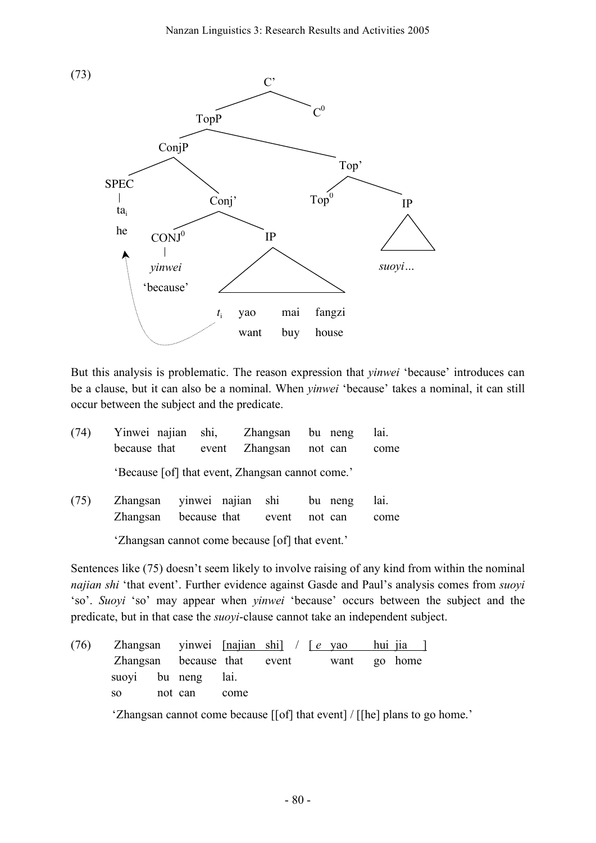

But this analysis is problematic. The reason expression that *yinwei* 'because' introduces can be a clause, but it can also be a nominal. When *yinwei* 'because' takes a nominal, it can still occur between the subject and the predicate.

| (74) | Yinwei najian shi, Zhangsan<br>because that |              | event         | Zhangsan                                         | bu neng<br>not can | lai.<br>come |
|------|---------------------------------------------|--------------|---------------|--------------------------------------------------|--------------------|--------------|
|      |                                             |              |               | 'Because [of] that event, Zhangsan cannot come.' |                    |              |
| (75) | Zhangsan<br>Zhangsan                        | because that | vinwei najian | shi<br>event                                     | bu neng<br>not can | lai.<br>come |

'Zhangsan cannot come because [of] that event.'

Sentences like (75) doesn't seem likely to involve raising of any kind from within the nominal *najian shi* 'that event'. Further evidence against Gasde and Paul's analysis comes from *suoyi* 'so'. *Suoyi* 'so' may appear when *yinwei* 'because' occurs between the subject and the predicate, but in that case the *suoyi*-clause cannot take an independent subject.

| (76) |                    |         |      | Zhangsan yinwei $[najian shi] / [e yao]$ |  | $\frac{hui-1}{i}$ |
|------|--------------------|---------|------|------------------------------------------|--|-------------------|
|      |                    |         |      | Zhangsan because that event want go home |  |                   |
|      | suovi bu neng lai. |         |      |                                          |  |                   |
|      | SO -               | not can | come |                                          |  |                   |
|      |                    |         |      |                                          |  |                   |

'Zhangsan cannot come because [[of] that event] / [[he] plans to go home.'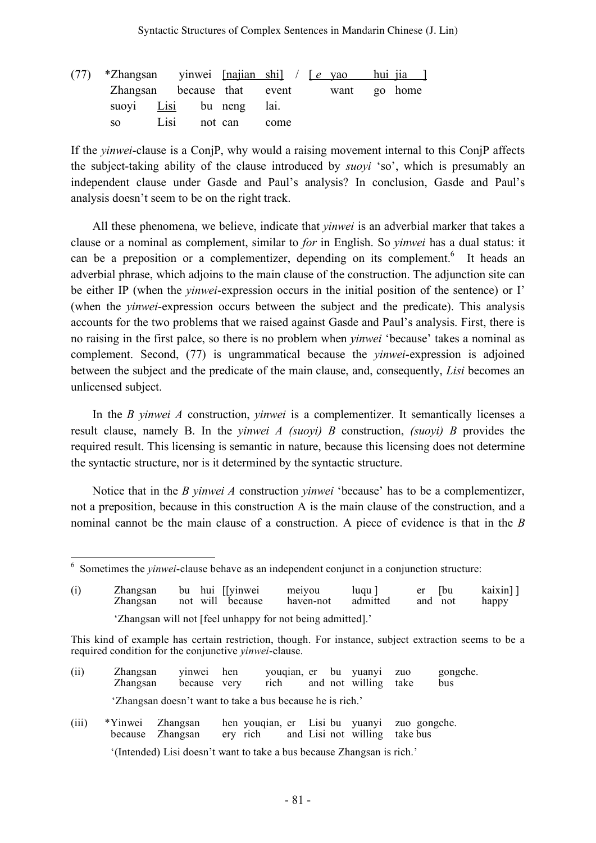| (77) *Zhangsan yinwei $[najian shi] / [e yao hui jia ]$ |      |         |                                          |  |  |
|---------------------------------------------------------|------|---------|------------------------------------------|--|--|
|                                                         |      |         | Zhangsan because that event want go home |  |  |
| suovi Lisi bu neng lai.                                 |      |         |                                          |  |  |
| SO <sub>2</sub>                                         | Lisi | not can | come                                     |  |  |

If the *yinwei*-clause is a ConjP, why would a raising movement internal to this ConjP affects the subject-taking ability of the clause introduced by *suoyi* 'so', which is presumably an independent clause under Gasde and Paul's analysis? In conclusion, Gasde and Paul's analysis doesn't seem to be on the right track.

All these phenomena, we believe, indicate that *yinwei* is an adverbial marker that takes a clause or a nominal as complement, similar to *for* in English. So *yinwei* has a dual status: it can be a preposition or a complementizer, depending on its complement.<sup>6</sup> It heads an adverbial phrase, which adjoins to the main clause of the construction. The adjunction site can be either IP (when the *yinwei*-expression occurs in the initial position of the sentence) or I' (when the *yinwei*-expression occurs between the subject and the predicate). This analysis accounts for the two problems that we raised against Gasde and Paul's analysis. First, there is no raising in the first palce, so there is no problem when *yinwei* 'because' takes a nominal as complement. Second, (77) is ungrammatical because the *yinwei*-expression is adjoined between the subject and the predicate of the main clause, and, consequently, *Lisi* becomes an unlicensed subject.

In the *B yinwei A* construction, *yinwei* is a complementizer. It semantically licenses a result clause, namely B. In the *yinwei A (suoyi) B* construction, *(suoyi) B* provides the required result. This licensing is semantic in nature, because this licensing does not determine the syntactic structure, nor is it determined by the syntactic structure.

Notice that in the *B yinwei A* construction *yinwei* 'because' has to be a complementizer, not a preposition, because in this construction A is the main clause of the construction, and a nominal cannot be the main clause of a construction. A piece of evidence is that in the *B*

(i) Zhangsan bu hui [[yinwei meiyou luqu ] er [bu kaixin] ]<br>Zhangsan not will because haven-not admitted and not happy not will because haven-not admitted and not happy 'Zhangsan will not [feel unhappy for not being admitted].'

- (ii) Zhangsan yinwei hen youqian, er bu yuanyi zuo gongche. Zhangsan because very rich and not willing take bus 'Zhangsan doesn't want to take a bus because he is rich.'
- (iii) \*Yinwei Zhangsan hen youqian, er Lisi bu yuanyi zuo gongche. because Zhangsan ery rich and Lisi not willing take bus

'(Intended) Lisi doesn't want to take a bus because Zhangsan is rich.'

<sup>6</sup> Sometimes the *yinwei*-clause behave as an independent conjunct in a conjunction structure:

This kind of example has certain restriction, though. For instance, subject extraction seems to be a required condition for the conjunctive *yinwei*-clause.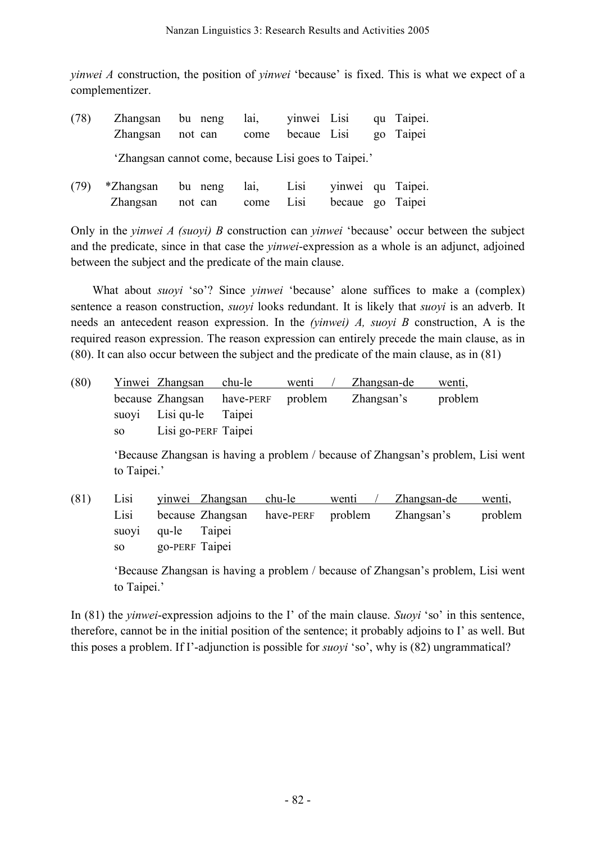*yinwei A* construction, the position of *yinwei* 'because' is fixed. This is what we expect of a complementizer.

| (78) | Zhangsan bu neng lai, vinwei Lisi que Taipei.        |  |  |  |
|------|------------------------------------------------------|--|--|--|
|      | Zhangsan not can come becaue Lisi go Taipei          |  |  |  |
|      | 'Zhangsan cannot come, because Lisi goes to Taipei.' |  |  |  |

| (79) *Zhangsan bu neng lai, Lisi yinwei qu Taipei. |                                             |  |  |  |
|----------------------------------------------------|---------------------------------------------|--|--|--|
|                                                    | Zhangsan not can come Lisi becaue go Taipei |  |  |  |

Only in the *yinwei A (suoyi) B* construction can *yinwei* 'because' occur between the subject and the predicate, since in that case the *yinwei*-expression as a whole is an adjunct, adjoined between the subject and the predicate of the main clause.

What about *suoyi* 'so'? Since *yinwei* 'because' alone suffices to make a (complex) sentence a reason construction, *suoyi* looks redundant. It is likely that *suoyi* is an adverb. It needs an antecedent reason expression. In the *(yinwei) A, suoyi B* construction, A is the required reason expression. The reason expression can entirely precede the main clause, as in (80). It can also occur between the subject and the predicate of the main clause, as in (81)

| (80) |      | Yinwei Zhangsan                    | chu-le | wenti | Zhangsan-de | wenti,  |
|------|------|------------------------------------|--------|-------|-------------|---------|
|      |      | because Zhangsan have-PERF problem |        |       | Zhangsan's  | problem |
|      |      | suovi Lisi qu-le Taipei            |        |       |             |         |
|      | SO - | Lisi go-PERF Taipei                |        |       |             |         |

'Because Zhangsan is having a problem / because of Zhangsan's problem, Lisi went to Taipei.'

(81) Lisi yinwei Zhangsan chu-le wenti / Zhangsan-de wenti, Lisi because Zhangsan have-PERF problem Zhangsan's problem suoyi qu-le Taipei so go-PERF Taipei

'Because Zhangsan is having a problem / because of Zhangsan's problem, Lisi went to Taipei.'

In (81) the *yinwei*-expression adjoins to the I' of the main clause. *Suoyi* 'so' in this sentence, therefore, cannot be in the initial position of the sentence; it probably adjoins to I' as well. But this poses a problem. If I'-adjunction is possible for *suoyi* 'so', why is (82) ungrammatical?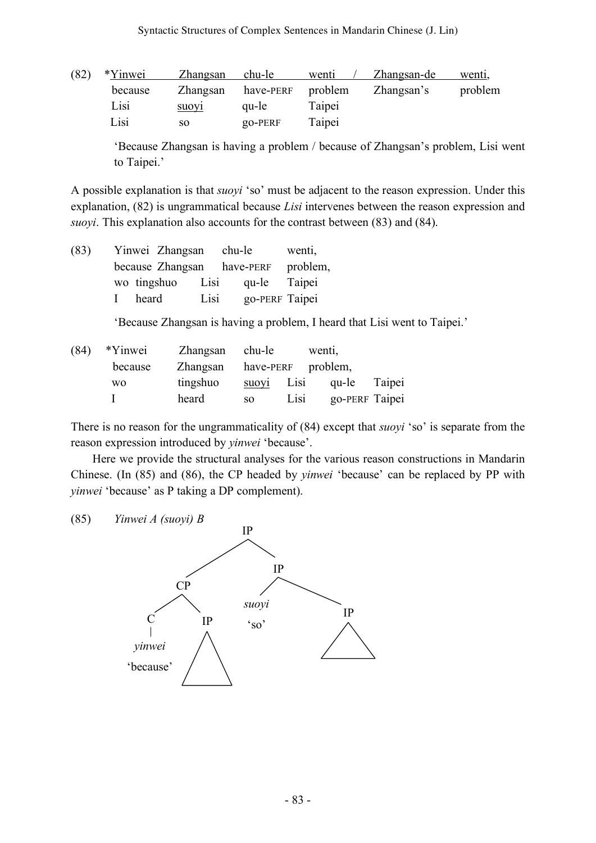| (82) | *Yinwei | Zhangsan          | chu-le    | wenti   | Zhangsan-de | wenti.  |
|------|---------|-------------------|-----------|---------|-------------|---------|
|      | because | Zhangsan          | have-PERF | problem | Zhangsan's  | problem |
|      | Lisi    | suov <sub>1</sub> | qu-le     | Taipei  |             |         |
|      | Lisi    | SO.               | $QO-PERF$ | Taipei  |             |         |

'Because Zhangsan is having a problem / because of Zhangsan's problem, Lisi went to Taipei.'

A possible explanation is that *suoyi* 'so' must be adjacent to the reason expression. Under this explanation, (82) is ungrammatical because *Lisi* intervenes between the reason expression and *suoyi*. This explanation also accounts for the contrast between (83) and (84).

| (83) | Yinwei Zhangsan       |      | chu-le    | wenti,         |
|------|-----------------------|------|-----------|----------------|
|      | because Zhangsan      |      | have-PERF | problem,       |
|      | wo tingshuo           | Lisi | qu-le     | Taipei         |
|      | heard<br>$\mathbf{L}$ | Lisi |           | go-PERF Taipei |

'Because Zhangsan is having a problem, I heard that Lisi went to Taipei.'

| (84) | *Yinwei        | Zhangsan chu-le             |       |      | wenti, |                |
|------|----------------|-----------------------------|-------|------|--------|----------------|
|      | because        | Zhangsan have-PERF problem, |       |      |        |                |
|      | W <sub>0</sub> | tingshuo                    | suovi | Lisi | qu-le  | Taipei         |
|      |                | heard                       | SO.   | Lisi |        | go-PERF Taipei |

There is no reason for the ungrammaticality of (84) except that *suoyi* 'so' is separate from the reason expression introduced by *yinwei* 'because'.

Here we provide the structural analyses for the various reason constructions in Mandarin Chinese. (In (85) and (86), the CP headed by *yinwei* 'because' can be replaced by PP with *yinwei* 'because' as P taking a DP complement).



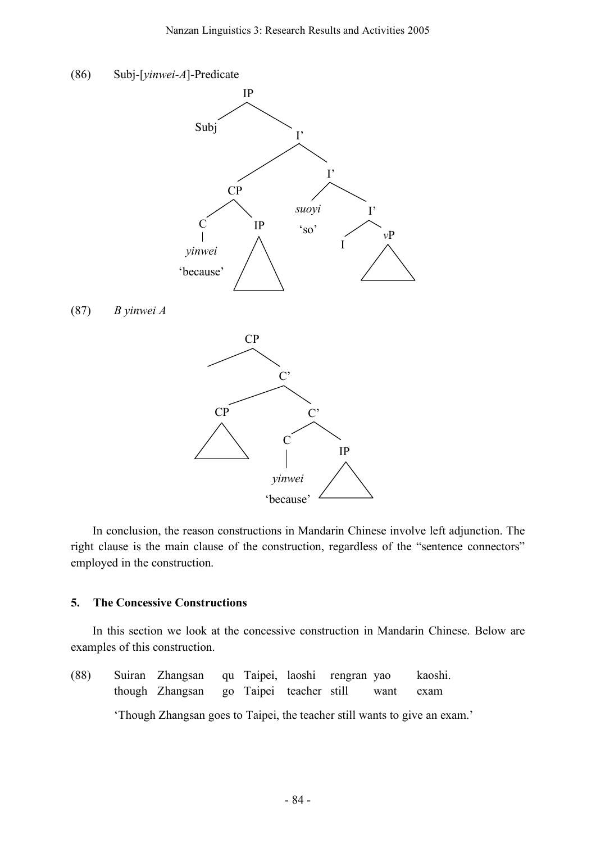

In conclusion, the reason constructions in Mandarin Chinese involve left adjunction. The right clause is the main clause of the construction, regardless of the "sentence connectors" employed in the construction.

#### **5. The Concessive Constructions**

In this section we look at the concessive construction in Mandarin Chinese. Below are examples of this construction.

(88) Suiran Zhangsan qu Taipei, laoshi rengran yao kaoshi. though Zhangsan go Taipei teacher still want exam 'Though Zhangsan goes to Taipei, the teacher still wants to give an exam.'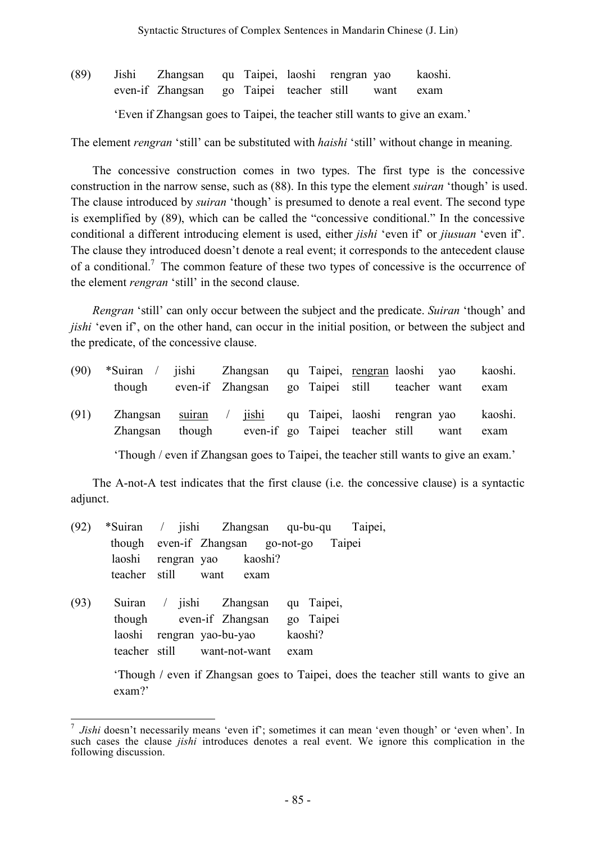(89) Jishi Zhangsan qu Taipei, laoshi rengran yao kaoshi. even-if Zhangsan go Taipei teacher still want exam 'Even if Zhangsan goes to Taipei, the teacher still wants to give an exam.'

The element *rengran* 'still' can be substituted with *haishi* 'still' without change in meaning.

The concessive construction comes in two types. The first type is the concessive construction in the narrow sense, such as (88). In this type the element *suiran* 'though' is used. The clause introduced by *suiran* 'though' is presumed to denote a real event. The second type is exemplified by (89), which can be called the "concessive conditional." In the concessive conditional a different introducing element is used, either *jishi* 'even if' or *jiusuan* 'even if'. The clause they introduced doesn't denote a real event; it corresponds to the antecedent clause of a conditional.<sup>7</sup> The common feature of these two types of concessive is the occurrence of the element *rengran* 'still' in the second clause.

*Rengran* 'still' can only occur between the subject and the predicate. *Suiran* 'though' and *jishi* 'even if', on the other hand, can occur in the initial position, or between the subject and the predicate, of the concessive clause.

| (90) | *Suiran / jishi Zhangsan qu Taipei, rengran laoshi yao<br>though  |        | even-if Zhangsan go Taipei still teacher want |  |                                 |      | kaoshi.<br>exam |
|------|-------------------------------------------------------------------|--------|-----------------------------------------------|--|---------------------------------|------|-----------------|
| (91) | Zhangsan suiran / jishi qu Taipei, laoshi rengran yao<br>Zhangsan | though |                                               |  | even-if go Taipei teacher still | want | kaoshi.<br>exam |

'Though / even if Zhangsan goes to Taipei, the teacher still wants to give an exam.'

The A-not-A test indicates that the first clause (i.e. the concessive clause) is a syntactic adjunct.

- (92) \*Suiran / jishi Zhangsan qu-bu-qu Taipei, though even-if Zhangsan go-not-go Taipei laoshi rengran yao kaoshi? teacher still want exam
- (93) Suiran / jishi Zhangsan qu Taipei, though even-if Zhangsan go Taipei laoshi rengran yao-bu-yao kaoshi? teacher still want-not-want exam

'Though / even if Zhangsan goes to Taipei, does the teacher still wants to give an exam?'

*Jishi* doesn't necessarily means 'even if'; sometimes it can mean 'even though' or 'even when'. In such cases the clause *jishi* introduces denotes a real event. We ignore this complication in the following discussion.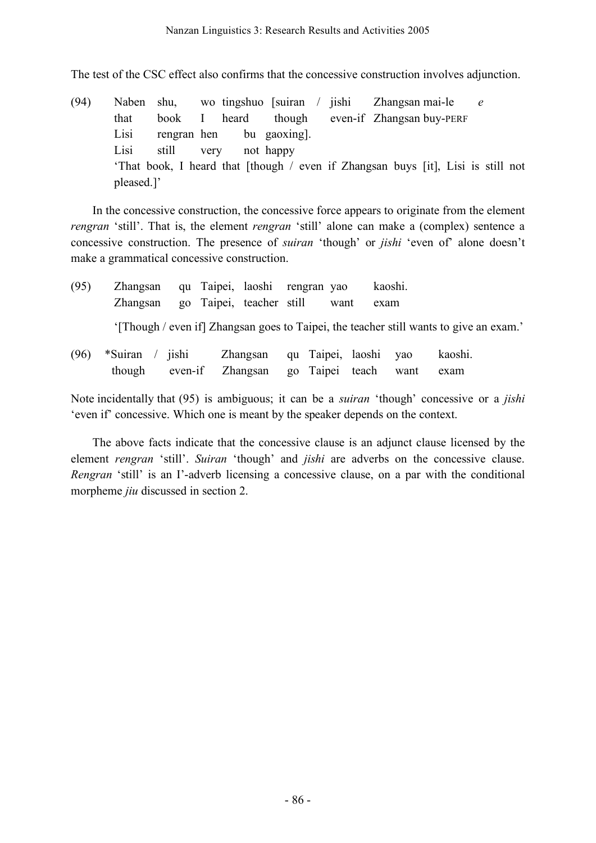The test of the CSC effect also confirms that the concessive construction involves adjunction.

(94) Naben shu, wo tingshuo [suiran / jishi Zhangsan mai-le *e* that book I heard though even-if Zhangsan buy-PERF Lisi rengran hen bu gaoxing]. Lisi still very not happy 'That book, I heard that [though / even if Zhangsan buys [it], Lisi is still not pleased.]'

In the concessive construction, the concessive force appears to originate from the element *rengran* 'still'. That is, the element *rengran* 'still' alone can make a (complex) sentence a concessive construction. The presence of *suiran* 'though' or *jishi* 'even of' alone doesn't make a grammatical concessive construction.

| (95) | Zhangsan<br>Zhangsan |                               | qu Taipei, laoshi rengran yao<br>go Taipei, teacher still | want                                     | kaoshi.<br>exam |      |                                                                                        |  |
|------|----------------------|-------------------------------|-----------------------------------------------------------|------------------------------------------|-----------------|------|----------------------------------------------------------------------------------------|--|
|      |                      |                               |                                                           |                                          |                 |      | '[Though / even if] Zhangsan goes to Taipei, the teacher still wants to give an exam.' |  |
| (96) | *Suiran<br>though    | $\frac{1}{2}$ ishi<br>even-if | Zhangsan<br>Zhangsan                                      | qu Taipei, laoshi yao<br>go Taipei teach |                 | want | kaoshi.<br>exam                                                                        |  |

Note incidentally that (95) is ambiguous; it can be a *suiran* 'though' concessive or a *jishi* 'even if' concessive. Which one is meant by the speaker depends on the context.

The above facts indicate that the concessive clause is an adjunct clause licensed by the element *rengran* 'still'. *Suiran* 'though' and *jishi* are adverbs on the concessive clause. *Rengran* 'still' is an I'-adverb licensing a concessive clause, on a par with the conditional morpheme *jiu* discussed in section 2.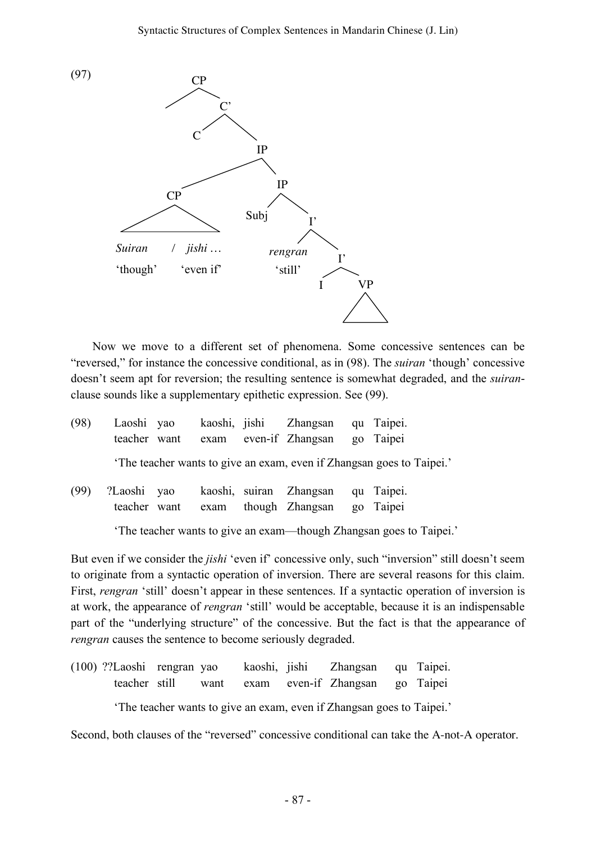

Now we move to a different set of phenomena. Some concessive sentences can be "reversed," for instance the concessive conditional, as in (98). The *suiran* 'though' concessive doesn't seem apt for reversion; the resulting sentence is somewhat degraded, and the *suiran*clause sounds like a supplementary epithetic expression. See (99).

| (98) | Laoshi yao                  |  | kaoshi, jishi Zhangsan qu Taipei.<br>teacher want exam even-if Zhangsan | go Taipei                                                             |
|------|-----------------------------|--|-------------------------------------------------------------------------|-----------------------------------------------------------------------|
|      |                             |  |                                                                         | 'The teacher wants to give an exam, even if Zhangsan goes to Taipei.' |
| (99) | ?Laoshi yao<br>teacher want |  | kaoshi, suiran Zhangsan<br>exam though Zhangsan                         | qu Taipei.<br>go Taipei                                               |

'The teacher wants to give an exam—though Zhangsan goes to Taipei.'

But even if we consider the *jishi* 'even if' concessive only, such "inversion" still doesn't seem to originate from a syntactic operation of inversion. There are several reasons for this claim. First, *rengran* 'still' doesn't appear in these sentences. If a syntactic operation of inversion is at work, the appearance of *rengran* 'still' would be acceptable, because it is an indispensable part of the "underlying structure" of the concessive. But the fact is that the appearance of *rengran* causes the sentence to become seriously degraded.

(100) ??Laoshi rengran yao kaoshi, jishi Zhangsan qu Taipei. teacher still want exam even-if Zhangsan go Taipei

'The teacher wants to give an exam, even if Zhangsan goes to Taipei.'

Second, both clauses of the "reversed" concessive conditional can take the A-not-A operator.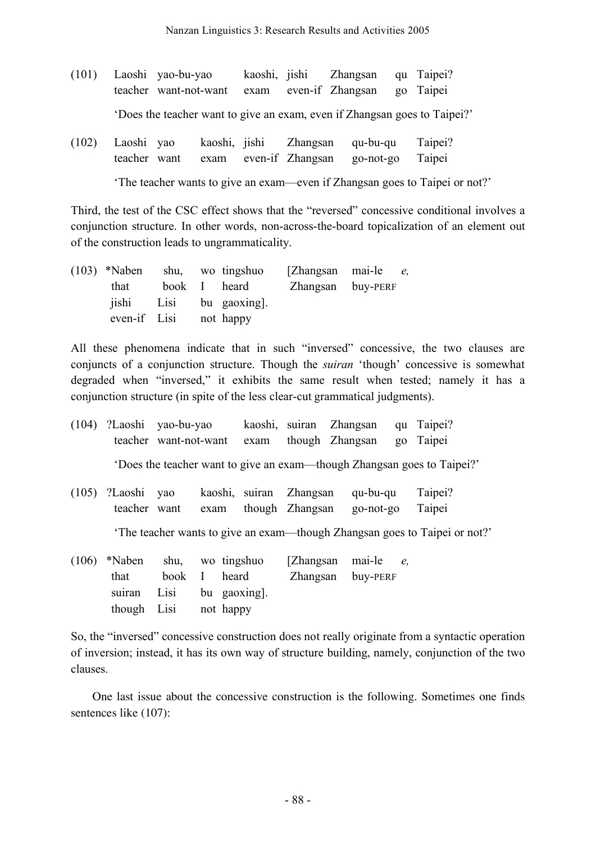|  | (101) Laoshi yao-bu-yao<br>teacher want-not-want exam even-if Zhangsan go Taipei |  | kaoshi, jishi Zhangsan qu Taipei? |  |
|--|----------------------------------------------------------------------------------|--|-----------------------------------|--|
|  | 'Does the teacher want to give an exam, even if Zhangsan goes to Taipei?'        |  |                                   |  |

|  |  |  | (102) Laoshi yao kaoshi, jishi Zhangsan qu-bu-qu Taipei? |  |
|--|--|--|----------------------------------------------------------|--|
|  |  |  | teacher want exam even-if Zhangsan go-not-go Taipei      |  |

'The teacher wants to give an exam—even if Zhangsan goes to Taipei or not?'

Third, the test of the CSC effect shows that the "reversed" concessive conditional involves a conjunction structure. In other words, non-across-the-board topicalization of an element out of the construction leads to ungrammaticality.

| $(103)$ *Naben shu, wo tingshuo |  |                        | [Zhangsan mai-le <i>e</i> , |  |
|---------------------------------|--|------------------------|-----------------------------|--|
| that                            |  | book I heard           | Zhangsan buy-PERF           |  |
|                                 |  | jishi Lisi bu gaoxing. |                             |  |
| even-if Lisi not happy          |  |                        |                             |  |

All these phenomena indicate that in such "inversed" concessive, the two clauses are conjuncts of a conjunction structure. Though the *suiran* 'though' concessive is somewhat degraded when "inversed," it exhibits the same result when tested; namely it has a conjunction structure (in spite of the less clear-cut grammatical judgments).

|       | (104) ?Laoshi yao-bu-yao           | teacher want-not-want                    |                                               | exam                    | kaoshi, suiran Zhangsan<br>though Zhangsan |                   |                       |   | qu Taipei?<br>go Taipei                                                  |
|-------|------------------------------------|------------------------------------------|-----------------------------------------------|-------------------------|--------------------------------------------|-------------------|-----------------------|---|--------------------------------------------------------------------------|
|       |                                    |                                          |                                               |                         |                                            |                   |                       |   | 'Does the teacher want to give an exam—though Zhangsan goes to Taipei?'  |
| (105) | ?Laoshi yao<br>teacher want        |                                          | exam                                          | kaoshi, suiran Zhangsan | though Zhangsan                            |                   | qu-bu-qu<br>go-not-go |   | Taipei?<br>Taipei                                                        |
|       |                                    |                                          |                                               |                         |                                            |                   |                       |   | The teacher wants to give an exam—though Zhangsan goes to Taipei or not? |
| (106) | *Naben<br>that<br>suiran<br>though | shu,<br>book<br>Lisi bu gaoxing.<br>Lisi | wo tingshuo<br>$\bf{I}$<br>heard<br>not happy |                         | [Zhangsan]                                 | Zhangsan buy-PERF | mai-le                | e |                                                                          |

So, the "inversed" concessive construction does not really originate from a syntactic operation of inversion; instead, it has its own way of structure building, namely, conjunction of the two clauses.

One last issue about the concessive construction is the following. Sometimes one finds sentences like (107):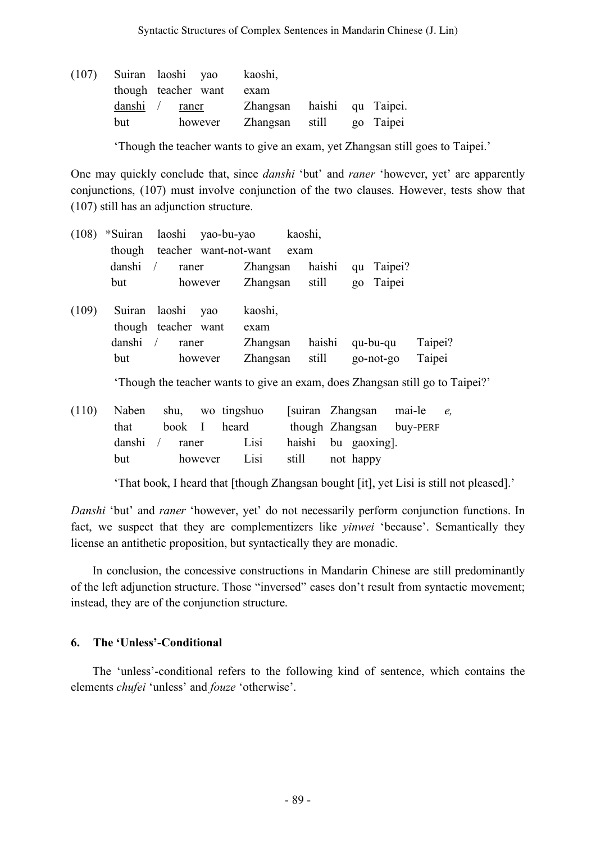| (107) |     | Suiran laoshi yao   | kaoshi,        |                            |
|-------|-----|---------------------|----------------|----------------------------|
|       |     | though teacher want | exam           |                            |
|       |     | danshi / raner      |                | Zhangsan haishi gu Taipei. |
|       | but | however             | Zhangsan still | go Taipei                  |

'Though the teacher wants to give an exam, yet Zhangsan still goes to Taipei.'

One may quickly conclude that, since *danshi* 'but' and *raner* 'however, yet' are apparently conjunctions, (107) must involve conjunction of the two clauses. However, tests show that (107) still has an adjunction structure.

| (108) | *Suiran                 |                                        | laoshi yao-bu-yao     |                                         | kaoshi, |                 |       |                       |                                                                                                  |
|-------|-------------------------|----------------------------------------|-----------------------|-----------------------------------------|---------|-----------------|-------|-----------------------|--------------------------------------------------------------------------------------------------|
|       | though                  |                                        | teacher want-not-want |                                         | exam    |                 |       |                       |                                                                                                  |
|       | danshi                  | raner                                  |                       | Zhangsan                                |         | haishi          | qu    | Taipei?               |                                                                                                  |
|       | but                     |                                        | however               | Zhangsan                                |         | still           | $g_0$ | Taipei                |                                                                                                  |
| (109) | Suiran<br>danshi<br>but | laoshi<br>though teacher want<br>raner | yao<br>however        | kaoshi,<br>exam<br>Zhangsan<br>Zhangsan |         | haishi<br>still |       | qu-bu-qu<br>go-not-go | Taipei?<br>Taipei<br>Though the teacher wants to give an exam, does Zhangsan still go to Taipei? |
|       |                         |                                        |                       |                                         |         |                 |       |                       |                                                                                                  |

|      |  | (110) Naben shu, wo tingshuo |                    |  | [suiran Zhangsan mai-le e, |  |
|------|--|------------------------------|--------------------|--|----------------------------|--|
| that |  | book I heard                 |                    |  | though Zhangsan buy-PERF   |  |
|      |  | danshi / raner Lisi          | haishi bu gaoxing. |  |                            |  |
| but  |  | however Lisi still not happy |                    |  |                            |  |

'That book, I heard that [though Zhangsan bought [it], yet Lisi is still not pleased].'

*Danshi* 'but' and *raner* 'however, yet' do not necessarily perform conjunction functions. In fact, we suspect that they are complementizers like *yinwei* 'because'. Semantically they license an antithetic proposition, but syntactically they are monadic.

In conclusion, the concessive constructions in Mandarin Chinese are still predominantly of the left adjunction structure. Those "inversed" cases don't result from syntactic movement; instead, they are of the conjunction structure.

## **6. The 'Unless'-Conditional**

The 'unless'-conditional refers to the following kind of sentence, which contains the elements *chufei* 'unless' and *fouze* 'otherwise'.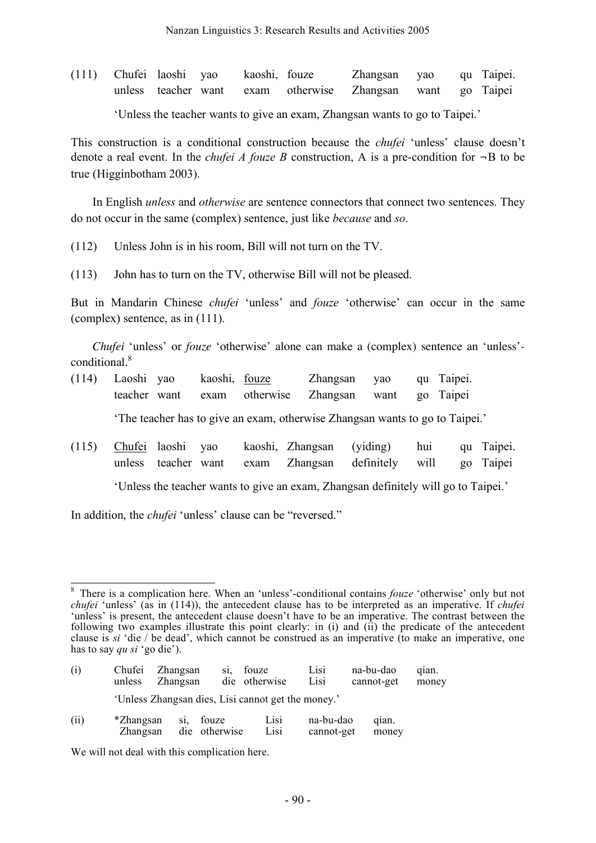(111) Chufei laoshi yao kaoshi, fouze Zhangsan yao qu Taipei. unless teacher want exam otherwise Zhangsan want go Taipei

'Unless the teacher wants to give an exam, Zhangsan wants to go to Taipei.'

This construction is a conditional construction because the *chufei* 'unless' clause doesn't denote a real event. In the *chufei A fouze B* construction, A is a pre-condition for  $\neg B$  to be true (Higginbotham 2003).

In English *unless* and *otherwise* are sentence connectors that connect two sentences. They do not occur in the same (complex) sentence, just like *because* and *so*.

- (112) Unless John is in his room, Bill will not turn on the TV.
- (113) John has to turn on the TV, otherwise Bill will not be pleased.

But in Mandarin Chinese *chufei* 'unless' and *fouze* 'otherwise' can occur in the same (complex) sentence, as in (111).

*Chufei* 'unless' or *fouze* 'otherwise' alone can make a (complex) sentence an 'unless' conditional. 8

- (114) Laoshi yao kaoshi, fouze Zhangsan yao qu Taipei. teacher want exam otherwise Zhangsan want go Taipei 'The teacher has to give an exam, otherwise Zhangsan wants to go to Taipei.'
- (115) Chufei laoshi yao kaoshi, Zhangsan (yiding) hui qu Taipei. unless teacher want exam Zhangsan definitely will go Taipei

'Unless the teacher wants to give an exam, Zhangsan definitely will go to Taipei.'

In addition, the *chufei* 'unless' clause can be "reversed."

<sup>8</sup> There is a complication here. When an 'unless'-conditional contains *fouze* 'otherwise' only but not *chufei* 'unless' (as in (114)), the antecedent clause has to be interpreted as an imperative. If *chufei* 'unless' is present, the antecedent clause doesn't have to be an imperative. The contrast between the following two examples illustrate this point clearly: in (i) and (ii) the predicate of the antecedent clause is *si* 'die / be dead', which cannot be construed as an imperative (to make an imperative, one has to say *qu si* 'go die').

| (i)  | Chufei<br>unless | Zhangsan<br>Zhangsan | S1. | fouze<br>die otherwise                             | $L1$ si<br>Lisi | na-bu-dao<br>cannot-get | qian.<br>money |
|------|------------------|----------------------|-----|----------------------------------------------------|-----------------|-------------------------|----------------|
|      |                  |                      |     | 'Unless Zhangsan dies, Lisi cannot get the money.' |                 |                         |                |
| (ii) | *Zhangsan        | fouze<br>S1          |     | L <sub>1</sub>                                     | na-bu-dao       | qian.                   |                |

Zhangsan die otherwise Lisi cannot-get money

We will not deal with this complication here.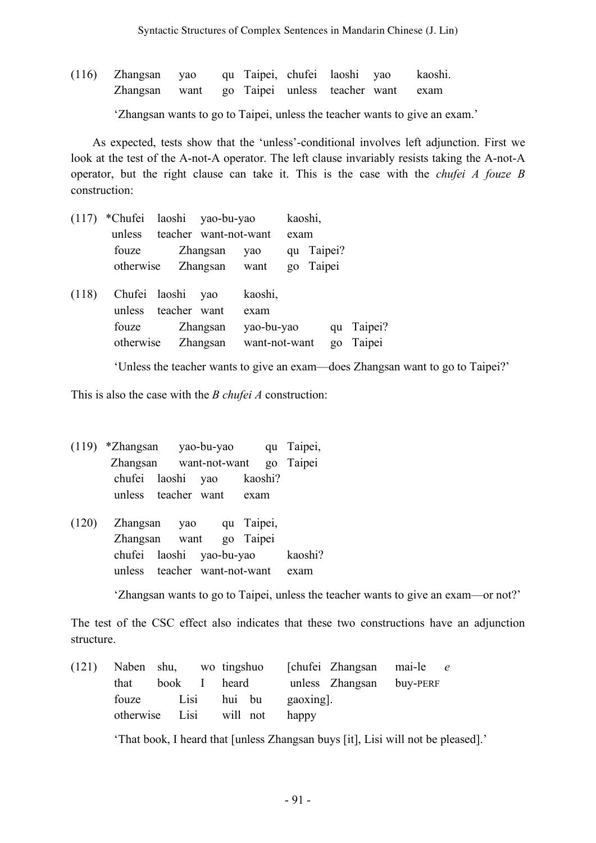(116) Zhangsan yao qu Taipei, chufei laoshi yao kaoshi. Zhangsan want go Taipei unless teacher want exam

'Zhangsan wants to go to Taipei, unless the teacher wants to give an exam.'

As expected, tests show that the 'unless'-conditional involves left adjunction. First we look at the test of the A-not-A operator. The left clause invariably resists taking the A-not-A operator, but the right clause can take it. This is the case with the *chufei A fouze B* construction:

| (117) | *Chufei laoshi yao-bu-yao |                                                         |               |                                                |      | kaoshi,    |             |                   |  |
|-------|---------------------------|---------------------------------------------------------|---------------|------------------------------------------------|------|------------|-------------|-------------------|--|
|       | unless                    | teacher want-not-want                                   |               |                                                | exam |            |             |                   |  |
|       | fouze                     |                                                         | Zhangsan      | yao                                            |      | qu Taipei? |             |                   |  |
|       | otherwise                 |                                                         | Zhangsan want |                                                |      | go Taipei  |             |                   |  |
| (118) | unless<br>fouze           | Chufei laoshi yao<br>teacher want<br>otherwise Zhangsan | Zhangsan      | kaoshi,<br>exam<br>yao-bu-yao<br>want-not-want |      |            | qu<br>$g_0$ | Taipei?<br>Taipei |  |
|       |                           |                                                         |               |                                                |      |            |             |                   |  |

'Unless the teacher wants to give an exam—does Zhangsan want to go to Taipei?'

This is also the case with the *B chufei A* construction:

(119) \*Zhangsan yao-bu-yao qu Taipei, Zhangsan want-not-want go Taipei chufei laoshi yao kaoshi? unless teacher want exam

(120) Zhangsan yao qu Taipei, Zhangsan want go Taipei chufei laoshi yao-bu-yao kaoshi? unless teacher want-not-want exam

'Zhangsan wants to go to Taipei, unless the teacher wants to give an exam—or not?'

The test of the CSC effect also indicates that these two constructions have an adjunction structure.

|                               |  |  |                 | (121) Naben shu, wo tingshuo [chufei Zhangsan mai-le e |  |
|-------------------------------|--|--|-----------------|--------------------------------------------------------|--|
| that                          |  |  |                 | book I heard unless Zhangsan buy-PERF                  |  |
| fouze Lisi                    |  |  | hui bu gaoxing. |                                                        |  |
| otherwise Lisi will not happy |  |  |                 |                                                        |  |

'That book, I heard that [unless Zhangsan buys [it], Lisi will not be pleased].'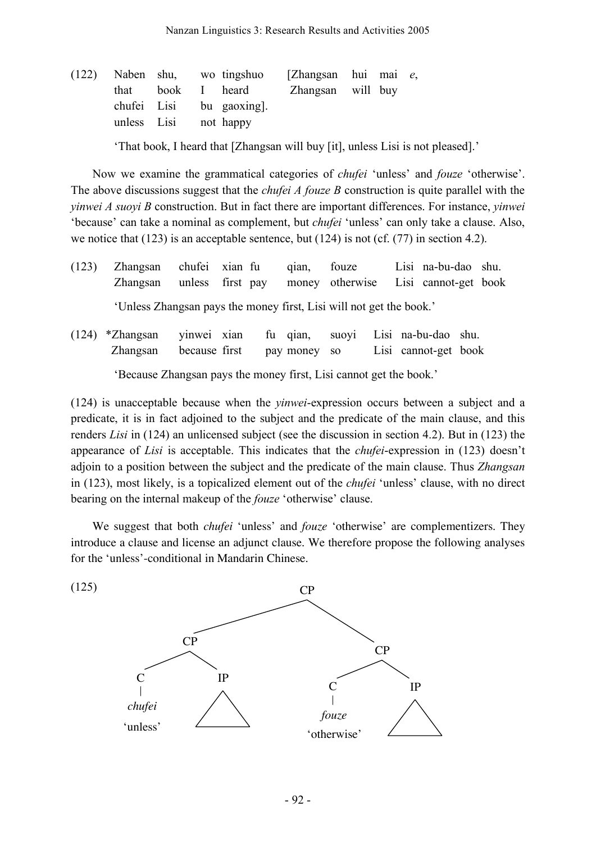|             |  | (122) Naben shu, wo tingshuo | [Zhangsan hui mai e, |  |  |
|-------------|--|------------------------------|----------------------|--|--|
|             |  | that book I heard            | Zhangsan will buy    |  |  |
|             |  | chufei Lisi bu gaoxing.      |                      |  |  |
| unless Lisi |  | not happy                    |                      |  |  |
|             |  |                              |                      |  |  |

'That book, I heard that [Zhangsan will buy [it], unless Lisi is not pleased].'

Now we examine the grammatical categories of *chufei* 'unless' and *fouze* 'otherwise'. The above discussions suggest that the *chufei A fouze B* construction is quite parallel with the *yinwei A suoyi B* construction. But in fact there are important differences. For instance, *yinwei* 'because' can take a nominal as complement, but *chufei* 'unless' can only take a clause. Also, we notice that  $(123)$  is an acceptable sentence, but  $(124)$  is not (cf.  $(77)$  in section 4.2).

- (123) Zhangsan chufei xian fu qian, fouze Lisi na-bu-dao shu. Zhangsan unless first pay money otherwise Lisi cannot-get book 'Unless Zhangsan pays the money first, Lisi will not get the book.'
- (124) \*Zhangsan yinwei xian fu qian, suoyi Lisi na-bu-dao shu. Zhangsan because first pay money so Lisi cannot-get book 'Because Zhangsan pays the money first, Lisi cannot get the book.'

(124) is unacceptable because when the *yinwei*-expression occurs between a subject and a predicate, it is in fact adjoined to the subject and the predicate of the main clause, and this renders *Lisi* in (124) an unlicensed subject (see the discussion in section 4.2). But in (123) the appearance of *Lisi* is acceptable. This indicates that the *chufei*-expression in (123) doesn't adjoin to a position between the subject and the predicate of the main clause. Thus *Zhangsan* in (123), most likely, is a topicalized element out of the *chufei* 'unless' clause, with no direct bearing on the internal makeup of the *fouze* 'otherwise' clause.

We suggest that both *chufei* 'unless' and *fouze* 'otherwise' are complementizers. They introduce a clause and license an adjunct clause. We therefore propose the following analyses for the 'unless'-conditional in Mandarin Chinese.

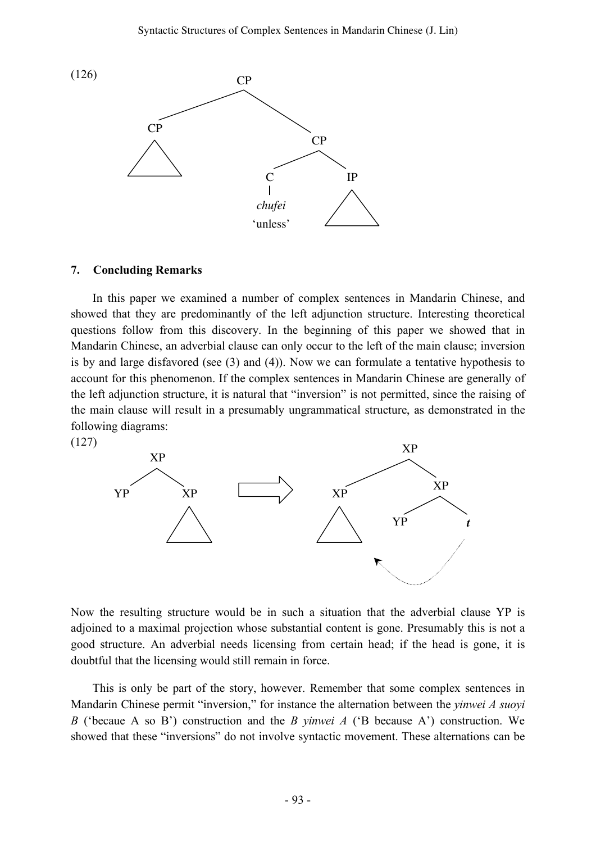

#### **7. Concluding Remarks**

(127)

In this paper we examined a number of complex sentences in Mandarin Chinese, and showed that they are predominantly of the left adjunction structure. Interesting theoretical questions follow from this discovery. In the beginning of this paper we showed that in Mandarin Chinese, an adverbial clause can only occur to the left of the main clause; inversion is by and large disfavored (see (3) and (4)). Now we can formulate a tentative hypothesis to account for this phenomenon. If the complex sentences in Mandarin Chinese are generally of the left adjunction structure, it is natural that "inversion" is not permitted, since the raising of the main clause will result in a presumably ungrammatical structure, as demonstrated in the following diagrams:



Now the resulting structure would be in such a situation that the adverbial clause YP is adjoined to a maximal projection whose substantial content is gone. Presumably this is not a good structure. An adverbial needs licensing from certain head; if the head is gone, it is doubtful that the licensing would still remain in force.

This is only be part of the story, however. Remember that some complex sentences in Mandarin Chinese permit "inversion," for instance the alternation between the *yinwei A suoyi B* ('becaue A so B') construction and the *B yinwei A* ('B because A') construction. We showed that these "inversions" do not involve syntactic movement. These alternations can be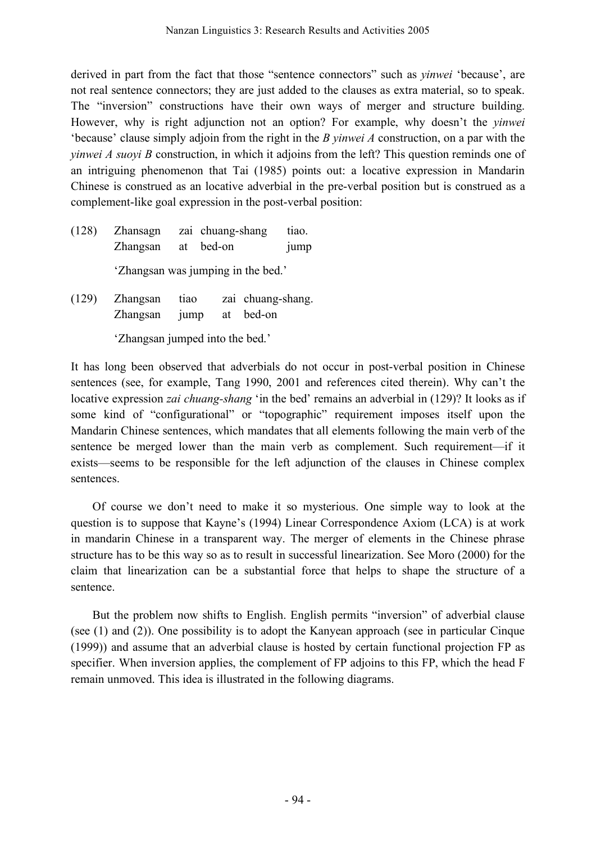derived in part from the fact that those "sentence connectors" such as *yinwei* 'because', are not real sentence connectors; they are just added to the clauses as extra material, so to speak. The "inversion" constructions have their own ways of merger and structure building. However, why is right adjunction not an option? For example, why doesn't the *yinwei* 'because' clause simply adjoin from the right in the *B yinwei A* construction, on a par with the *yinwei A suoyi B* construction, in which it adjoins from the left? This question reminds one of an intriguing phenomenon that Tai (1985) points out: a locative expression in Mandarin Chinese is construed as an locative adverbial in the pre-verbal position but is construed as a complement-like goal expression in the post-verbal position:

- (128) Zhansagn zai chuang-shang tiao. Zhangsan at bed-on jump 'Zhangsan was jumping in the bed.'
- (129) Zhangsan tiao zai chuang-shang. Zhangsan jump at bed-on

'Zhangsan jumped into the bed.'

It has long been observed that adverbials do not occur in post-verbal position in Chinese sentences (see, for example, Tang 1990, 2001 and references cited therein). Why can't the locative expression *zai chuang-shang* 'in the bed' remains an adverbial in (129)? It looks as if some kind of "configurational" or "topographic" requirement imposes itself upon the Mandarin Chinese sentences, which mandates that all elements following the main verb of the sentence be merged lower than the main verb as complement. Such requirement—if it exists—seems to be responsible for the left adjunction of the clauses in Chinese complex sentences.

Of course we don't need to make it so mysterious. One simple way to look at the question is to suppose that Kayne's (1994) Linear Correspondence Axiom (LCA) is at work in mandarin Chinese in a transparent way. The merger of elements in the Chinese phrase structure has to be this way so as to result in successful linearization. See Moro (2000) for the claim that linearization can be a substantial force that helps to shape the structure of a sentence.

But the problem now shifts to English. English permits "inversion" of adverbial clause (see (1) and (2)). One possibility is to adopt the Kanyean approach (see in particular Cinque (1999)) and assume that an adverbial clause is hosted by certain functional projection FP as specifier. When inversion applies, the complement of FP adjoins to this FP, which the head F remain unmoved. This idea is illustrated in the following diagrams.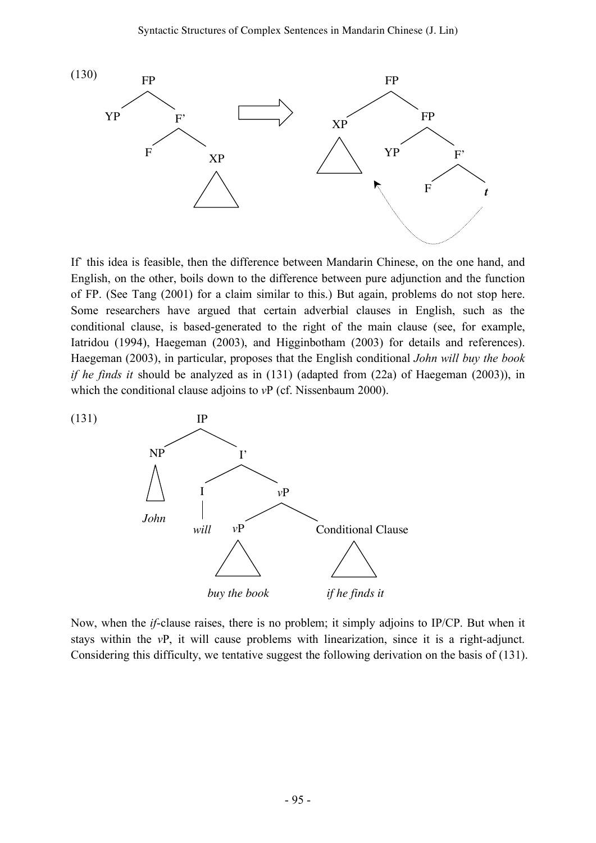

If this idea is feasible, then the difference between Mandarin Chinese, on the one hand, and English, on the other, boils down to the difference between pure adjunction and the function of FP. (See Tang (2001) for a claim similar to this.) But again, problems do not stop here. Some researchers have argued that certain adverbial clauses in English, such as the conditional clause, is based-generated to the right of the main clause (see, for example, Iatridou (1994), Haegeman (2003), and Higginbotham (2003) for details and references). Haegeman (2003), in particular, proposes that the English conditional *John will buy the book if he finds it* should be analyzed as in (131) (adapted from (22a) of Haegeman (2003)), in which the conditional clause adjoins to *vP* (cf. Nissenbaum 2000).



Now, when the *if*-clause raises, there is no problem; it simply adjoins to IP/CP. But when it stays within the *v*P, it will cause problems with linearization, since it is a right-adjunct. Considering this difficulty, we tentative suggest the following derivation on the basis of (131).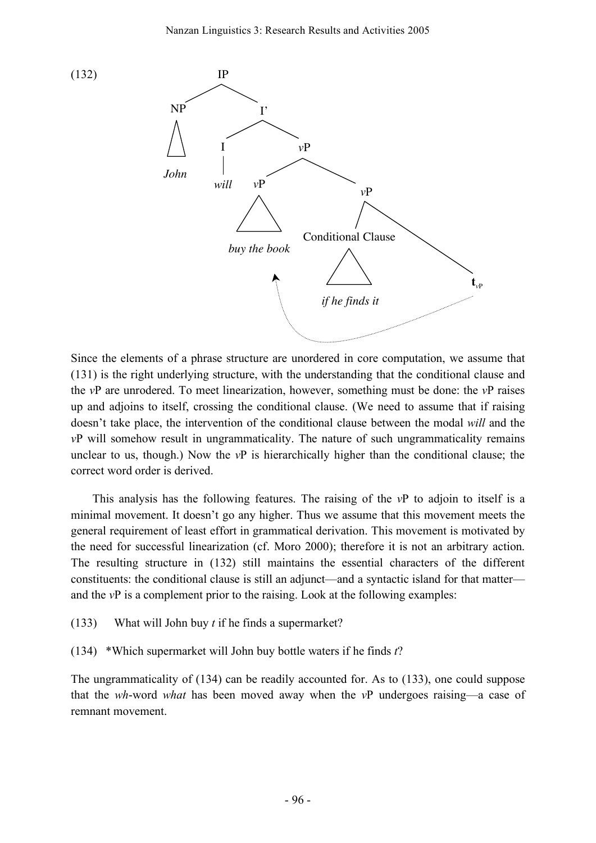

Since the elements of a phrase structure are unordered in core computation, we assume that (131) is the right underlying structure, with the understanding that the conditional clause and the *v*P are unrodered. To meet linearization, however, something must be done: the *v*P raises up and adjoins to itself, crossing the conditional clause. (We need to assume that if raising doesn't take place, the intervention of the conditional clause between the modal *will* and the *v*P will somehow result in ungrammaticality. The nature of such ungrammaticality remains unclear to us, though.) Now the *v*P is hierarchically higher than the conditional clause; the correct word order is derived.

This analysis has the following features. The raising of the *v*P to adjoin to itself is a minimal movement. It doesn't go any higher. Thus we assume that this movement meets the general requirement of least effort in grammatical derivation. This movement is motivated by the need for successful linearization (cf. Moro 2000); therefore it is not an arbitrary action. The resulting structure in (132) still maintains the essential characters of the different constituents: the conditional clause is still an adjunct—and a syntactic island for that matter and the *v*P is a complement prior to the raising. Look at the following examples:

(133) What will John buy *t* if he finds a supermarket?

(134) \*Which supermarket will John buy bottle waters if he finds *t*?

The ungrammaticality of (134) can be readily accounted for. As to (133), one could suppose that the *wh*-word *what* has been moved away when the *v*P undergoes raising—a case of remnant movement.